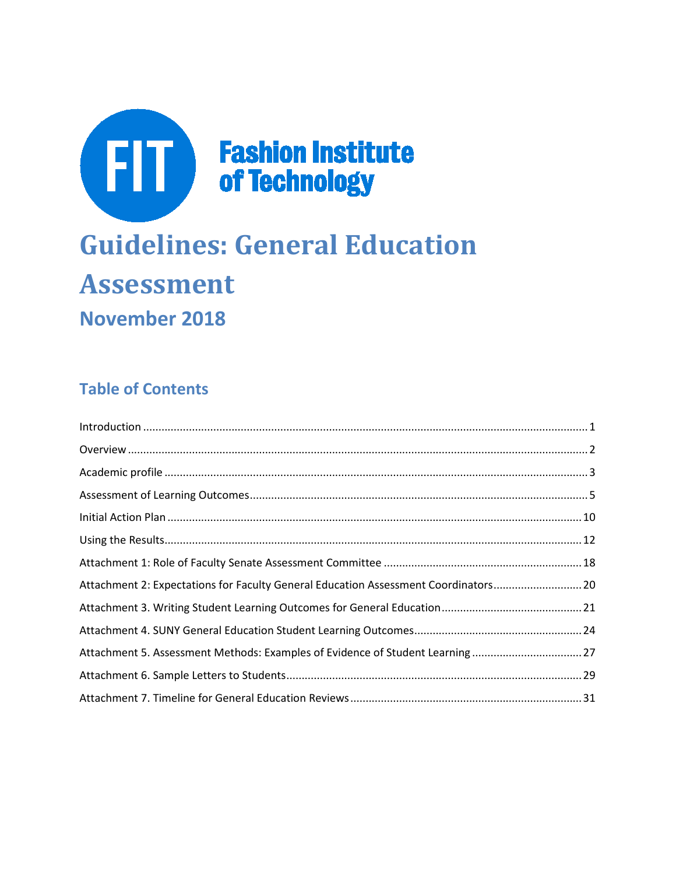

# **Guidelines: General Education Assessment November 2018**

### **Table of Contents**

| Attachment 2: Expectations for Faculty General Education Assessment Coordinators20 |  |
|------------------------------------------------------------------------------------|--|
|                                                                                    |  |
|                                                                                    |  |
| Attachment 5. Assessment Methods: Examples of Evidence of Student Learning27       |  |
|                                                                                    |  |
|                                                                                    |  |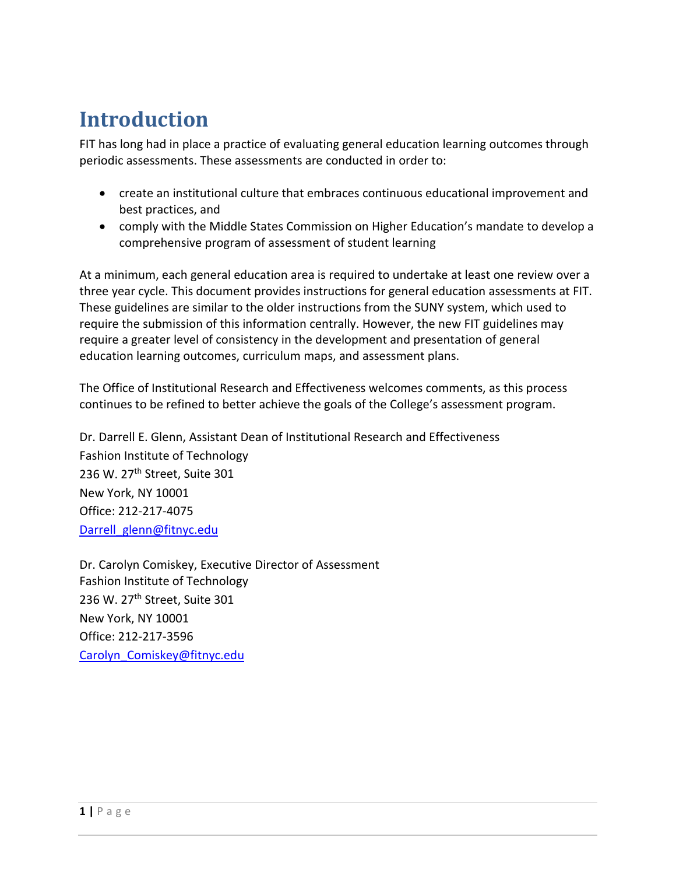## <span id="page-1-0"></span>**Introduction**

FIT has long had in place a practice of evaluating general education learning outcomes through periodic assessments. These assessments are conducted in order to:

- create an institutional culture that embraces continuous educational improvement and best practices, and
- comply with the Middle States Commission on Higher Education's mandate to develop a comprehensive program of assessment of student learning

At a minimum, each general education area is required to undertake at least one review over a three year cycle. This document provides instructions for general education assessments at FIT. These guidelines are similar to the older instructions from the SUNY system, which used to require the submission of this information centrally. However, the new FIT guidelines may require a greater level of consistency in the development and presentation of general education learning outcomes, curriculum maps, and assessment plans.

The Office of Institutional Research and Effectiveness welcomes comments, as this process continues to be refined to better achieve the goals of the College's assessment program.

Dr. Darrell E. Glenn, Assistant Dean of Institutional Research and Effectiveness Fashion Institute of Technology 236 W. 27<sup>th</sup> Street, Suite 301 New York, NY 10001 Office: 212-217-4075 [Darrell\\_glenn@fitnyc.edu](mailto:Darrell_glenn@fitnyc.edu)

Dr. Carolyn Comiskey, Executive Director of Assessment Fashion Institute of Technology 236 W. 27th Street, Suite 301 New York, NY 10001 Office: 212-217-3596 Carolyn Comiskey@fitnyc.edu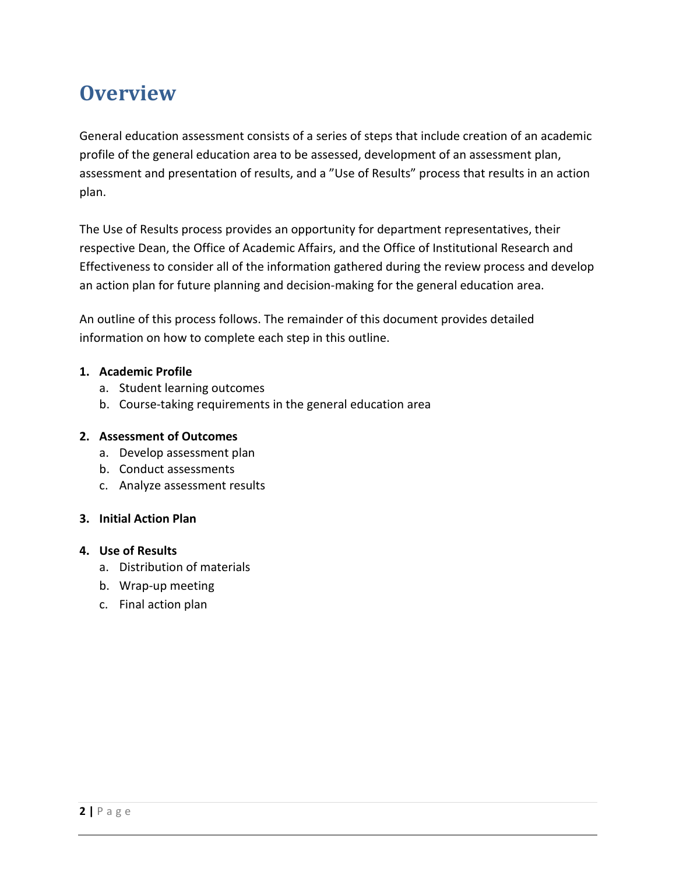## <span id="page-2-0"></span>**Overview**

General education assessment consists of a series of steps that include creation of an academic profile of the general education area to be assessed, development of an assessment plan, assessment and presentation of results, and a "Use of Results" process that results in an action plan.

The Use of Results process provides an opportunity for department representatives, their respective Dean, the Office of Academic Affairs, and the Office of Institutional Research and Effectiveness to consider all of the information gathered during the review process and develop an action plan for future planning and decision-making for the general education area.

An outline of this process follows. The remainder of this document provides detailed information on how to complete each step in this outline.

#### **1. Academic Profile**

- a. Student learning outcomes
- b. Course-taking requirements in the general education area

#### **2. Assessment of Outcomes**

- a. Develop assessment plan
- b. Conduct assessments
- c. Analyze assessment results

#### **3. Initial Action Plan**

#### **4. Use of Results**

- a. Distribution of materials
- b. Wrap-up meeting
- c. Final action plan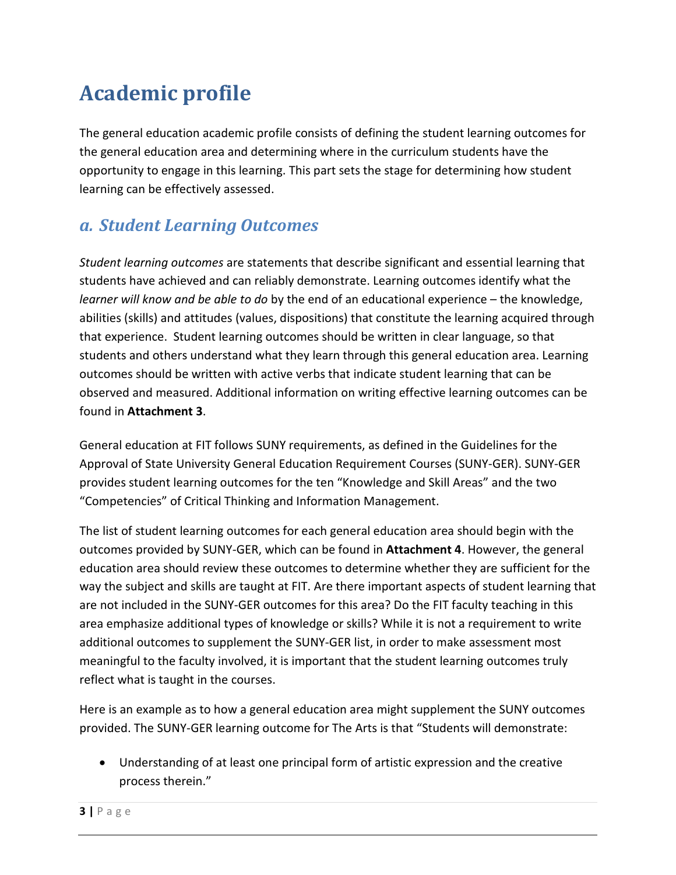## <span id="page-3-0"></span>**Academic profile**

The general education academic profile consists of defining the student learning outcomes for the general education area and determining where in the curriculum students have the opportunity to engage in this learning. This part sets the stage for determining how student learning can be effectively assessed.

### *a. Student Learning Outcomes*

*Student learning outcomes* are statements that describe significant and essential learning that students have achieved and can reliably demonstrate. Learning outcomes identify what the *learner will know and be able to do* by the end of an educational experience – the knowledge, abilities (skills) and attitudes (values, dispositions) that constitute the learning acquired through that experience. Student learning outcomes should be written in clear language, so that students and others understand what they learn through this general education area. Learning outcomes should be written with active verbs that indicate student learning that can be observed and measured. Additional information on writing effective learning outcomes can be found in **Attachment 3**.

General education at FIT follows SUNY requirements, as defined in the Guidelines for the Approval of State University General Education Requirement Courses (SUNY-GER). SUNY-GER provides student learning outcomes for the ten "Knowledge and Skill Areas" and the two "Competencies" of Critical Thinking and Information Management.

The list of student learning outcomes for each general education area should begin with the outcomes provided by SUNY-GER, which can be found in **Attachment 4**. However, the general education area should review these outcomes to determine whether they are sufficient for the way the subject and skills are taught at FIT. Are there important aspects of student learning that are not included in the SUNY-GER outcomes for this area? Do the FIT faculty teaching in this area emphasize additional types of knowledge or skills? While it is not a requirement to write additional outcomes to supplement the SUNY-GER list, in order to make assessment most meaningful to the faculty involved, it is important that the student learning outcomes truly reflect what is taught in the courses.

Here is an example as to how a general education area might supplement the SUNY outcomes provided. The SUNY-GER learning outcome for The Arts is that "Students will demonstrate:

• Understanding of at least one principal form of artistic expression and the creative process therein."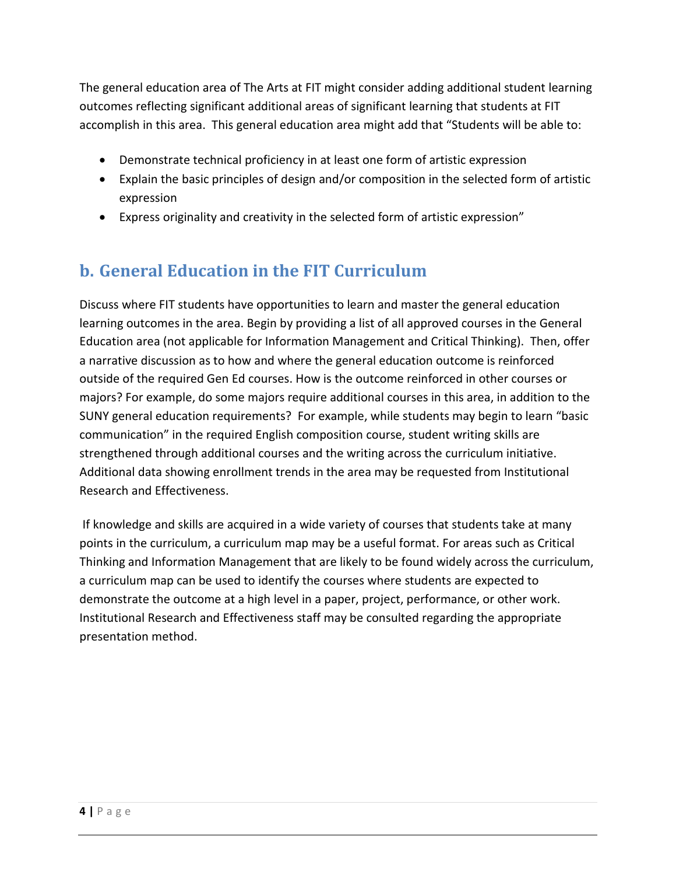The general education area of The Arts at FIT might consider adding additional student learning outcomes reflecting significant additional areas of significant learning that students at FIT accomplish in this area. This general education area might add that "Students will be able to:

- Demonstrate technical proficiency in at least one form of artistic expression
- Explain the basic principles of design and/or composition in the selected form of artistic expression
- Express originality and creativity in the selected form of artistic expression"

### **b. General Education in the FIT Curriculum**

Discuss where FIT students have opportunities to learn and master the general education learning outcomes in the area. Begin by providing a list of all approved courses in the General Education area (not applicable for Information Management and Critical Thinking). Then, offer a narrative discussion as to how and where the general education outcome is reinforced outside of the required Gen Ed courses. How is the outcome reinforced in other courses or majors? For example, do some majors require additional courses in this area, in addition to the SUNY general education requirements? For example, while students may begin to learn "basic communication" in the required English composition course, student writing skills are strengthened through additional courses and the writing across the curriculum initiative. Additional data showing enrollment trends in the area may be requested from Institutional Research and Effectiveness.

If knowledge and skills are acquired in a wide variety of courses that students take at many points in the curriculum, a curriculum map may be a useful format. For areas such as Critical Thinking and Information Management that are likely to be found widely across the curriculum, a curriculum map can be used to identify the courses where students are expected to demonstrate the outcome at a high level in a paper, project, performance, or other work. Institutional Research and Effectiveness staff may be consulted regarding the appropriate presentation method.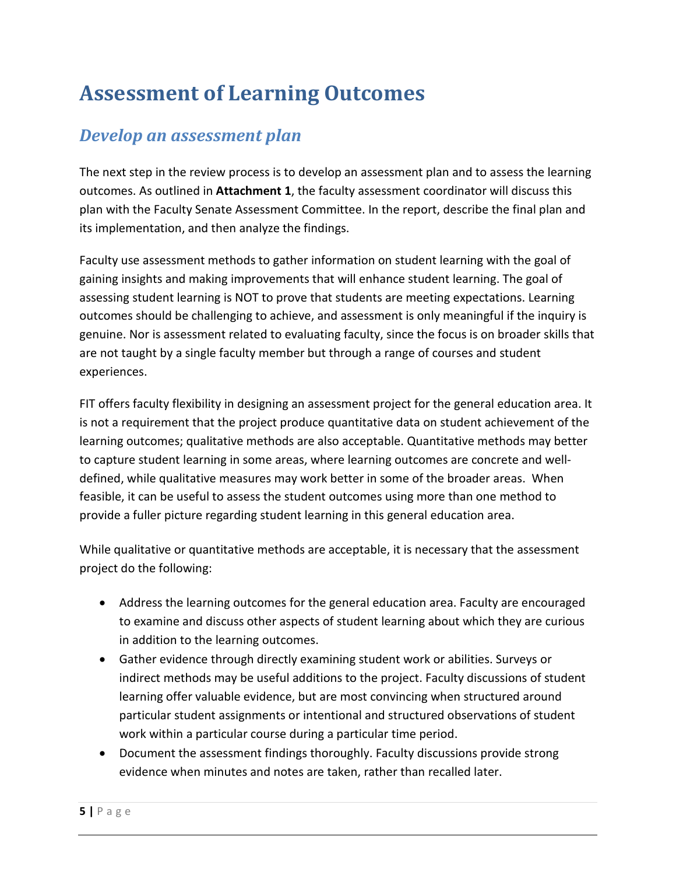## <span id="page-5-0"></span>**Assessment of Learning Outcomes**

### *Develop an assessment plan*

The next step in the review process is to develop an assessment plan and to assess the learning outcomes. As outlined in **Attachment 1**, the faculty assessment coordinator will discuss this plan with the Faculty Senate Assessment Committee. In the report, describe the final plan and its implementation, and then analyze the findings.

Faculty use assessment methods to gather information on student learning with the goal of gaining insights and making improvements that will enhance student learning. The goal of assessing student learning is NOT to prove that students are meeting expectations. Learning outcomes should be challenging to achieve, and assessment is only meaningful if the inquiry is genuine. Nor is assessment related to evaluating faculty, since the focus is on broader skills that are not taught by a single faculty member but through a range of courses and student experiences.

FIT offers faculty flexibility in designing an assessment project for the general education area. It is not a requirement that the project produce quantitative data on student achievement of the learning outcomes; qualitative methods are also acceptable. Quantitative methods may better to capture student learning in some areas, where learning outcomes are concrete and welldefined, while qualitative measures may work better in some of the broader areas. When feasible, it can be useful to assess the student outcomes using more than one method to provide a fuller picture regarding student learning in this general education area.

While qualitative or quantitative methods are acceptable, it is necessary that the assessment project do the following:

- Address the learning outcomes for the general education area. Faculty are encouraged to examine and discuss other aspects of student learning about which they are curious in addition to the learning outcomes.
- Gather evidence through directly examining student work or abilities. Surveys or indirect methods may be useful additions to the project. Faculty discussions of student learning offer valuable evidence, but are most convincing when structured around particular student assignments or intentional and structured observations of student work within a particular course during a particular time period.
- Document the assessment findings thoroughly. Faculty discussions provide strong evidence when minutes and notes are taken, rather than recalled later.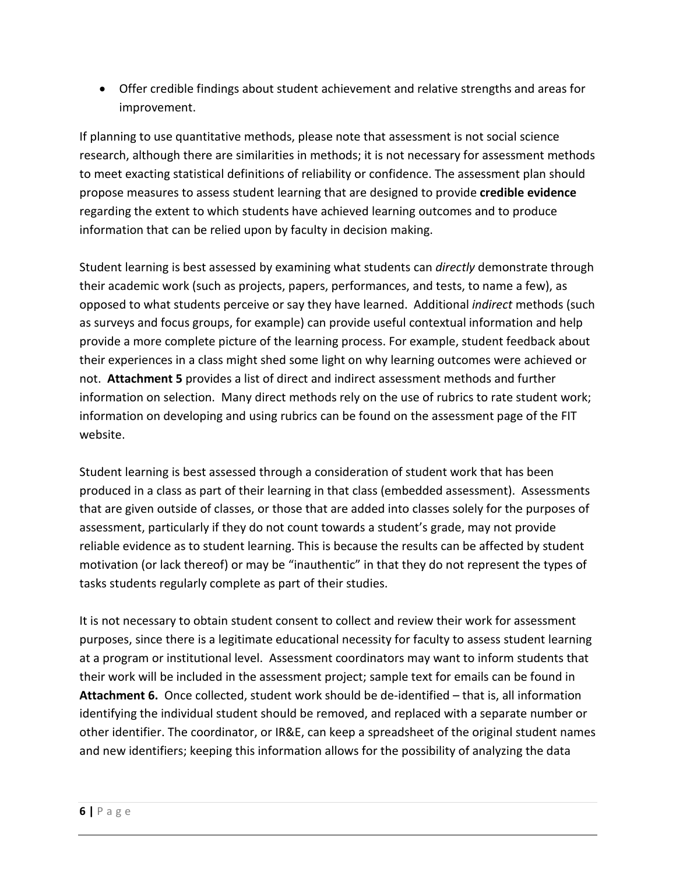• Offer credible findings about student achievement and relative strengths and areas for improvement.

If planning to use quantitative methods, please note that assessment is not social science research, although there are similarities in methods; it is not necessary for assessment methods to meet exacting statistical definitions of reliability or confidence. The assessment plan should propose measures to assess student learning that are designed to provide **credible evidence** regarding the extent to which students have achieved learning outcomes and to produce information that can be relied upon by faculty in decision making.

Student learning is best assessed by examining what students can *directly* demonstrate through their academic work (such as projects, papers, performances, and tests, to name a few), as opposed to what students perceive or say they have learned. Additional *indirect* methods (such as surveys and focus groups, for example) can provide useful contextual information and help provide a more complete picture of the learning process. For example, student feedback about their experiences in a class might shed some light on why learning outcomes were achieved or not. **Attachment 5** provides a list of direct and indirect assessment methods and further information on selection. Many direct methods rely on the use of rubrics to rate student work; information on developing and using rubrics can be found on the assessment page of the FIT website.

Student learning is best assessed through a consideration of student work that has been produced in a class as part of their learning in that class (embedded assessment). Assessments that are given outside of classes, or those that are added into classes solely for the purposes of assessment, particularly if they do not count towards a student's grade, may not provide reliable evidence as to student learning. This is because the results can be affected by student motivation (or lack thereof) or may be "inauthentic" in that they do not represent the types of tasks students regularly complete as part of their studies.

It is not necessary to obtain student consent to collect and review their work for assessment purposes, since there is a legitimate educational necessity for faculty to assess student learning at a program or institutional level. Assessment coordinators may want to inform students that their work will be included in the assessment project; sample text for emails can be found in **Attachment 6.** Once collected, student work should be de-identified – that is, all information identifying the individual student should be removed, and replaced with a separate number or other identifier. The coordinator, or IR&E, can keep a spreadsheet of the original student names and new identifiers; keeping this information allows for the possibility of analyzing the data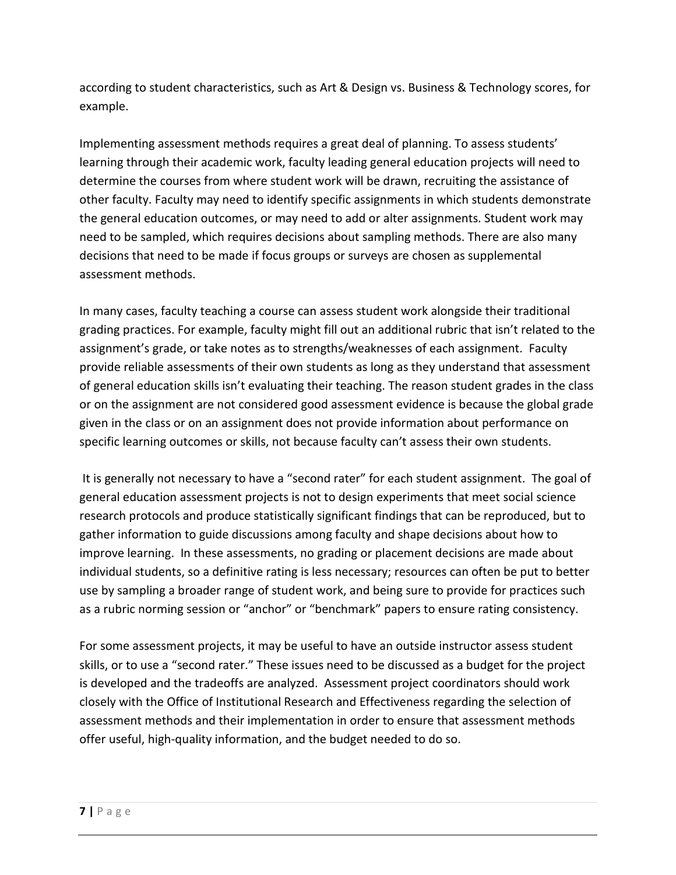according to student characteristics, such as Art & Design vs. Business & Technology scores, for example.

Implementing assessment methods requires a great deal of planning. To assess students' learning through their academic work, faculty leading general education projects will need to determine the courses from where student work will be drawn, recruiting the assistance of other faculty. Faculty may need to identify specific assignments in which students demonstrate the general education outcomes, or may need to add or alter assignments. Student work may need to be sampled, which requires decisions about sampling methods. There are also many decisions that need to be made if focus groups or surveys are chosen as supplemental assessment methods.

In many cases, faculty teaching a course can assess student work alongside their traditional grading practices. For example, faculty might fill out an additional rubric that isn't related to the assignment's grade, or take notes as to strengths/weaknesses of each assignment. Faculty provide reliable assessments of their own students as long as they understand that assessment of general education skills isn't evaluating their teaching. The reason student grades in the class or on the assignment are not considered good assessment evidence is because the global grade given in the class or on an assignment does not provide information about performance on specific learning outcomes or skills, not because faculty can't assess their own students.

It is generally not necessary to have a "second rater" for each student assignment. The goal of general education assessment projects is not to design experiments that meet social science research protocols and produce statistically significant findings that can be reproduced, but to gather information to guide discussions among faculty and shape decisions about how to improve learning. In these assessments, no grading or placement decisions are made about individual students, so a definitive rating is less necessary; resources can often be put to better use by sampling a broader range of student work, and being sure to provide for practices such as a rubric norming session or "anchor" or "benchmark" papers to ensure rating consistency.

For some assessment projects, it may be useful to have an outside instructor assess student skills, or to use a "second rater." These issues need to be discussed as a budget for the project is developed and the tradeoffs are analyzed. Assessment project coordinators should work closely with the Office of Institutional Research and Effectiveness regarding the selection of assessment methods and their implementation in order to ensure that assessment methods offer useful, high-quality information, and the budget needed to do so.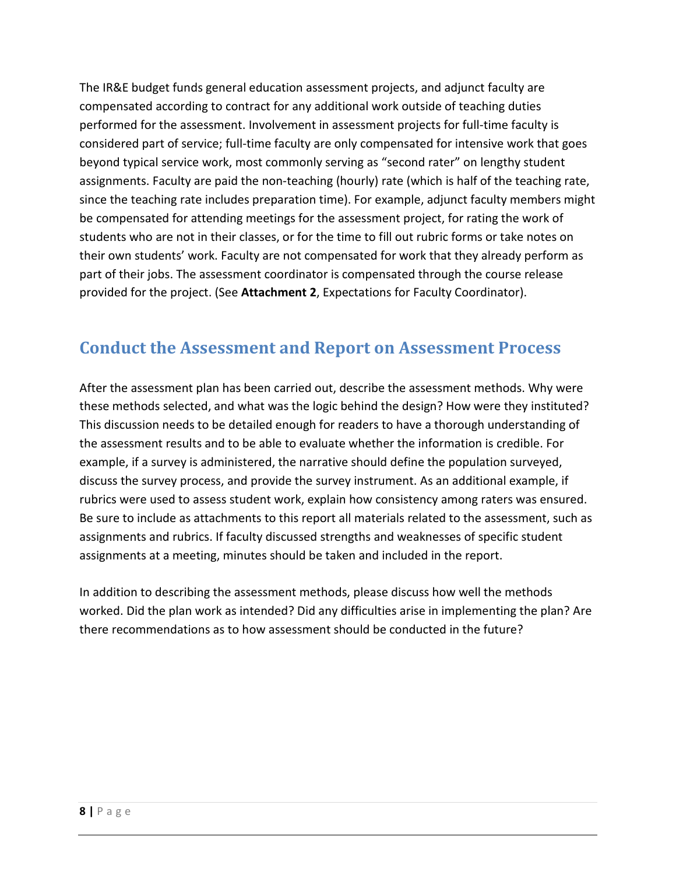The IR&E budget funds general education assessment projects, and adjunct faculty are compensated according to contract for any additional work outside of teaching duties performed for the assessment. Involvement in assessment projects for full-time faculty is considered part of service; full-time faculty are only compensated for intensive work that goes beyond typical service work, most commonly serving as "second rater" on lengthy student assignments. Faculty are paid the non-teaching (hourly) rate (which is half of the teaching rate, since the teaching rate includes preparation time). For example, adjunct faculty members might be compensated for attending meetings for the assessment project, for rating the work of students who are not in their classes, or for the time to fill out rubric forms or take notes on their own students' work. Faculty are not compensated for work that they already perform as part of their jobs. The assessment coordinator is compensated through the course release provided for the project. (See **Attachment 2**, Expectations for Faculty Coordinator).

### **Conduct the Assessment and Report on Assessment Process**

After the assessment plan has been carried out, describe the assessment methods. Why were these methods selected, and what was the logic behind the design? How were they instituted? This discussion needs to be detailed enough for readers to have a thorough understanding of the assessment results and to be able to evaluate whether the information is credible. For example, if a survey is administered, the narrative should define the population surveyed, discuss the survey process, and provide the survey instrument. As an additional example, if rubrics were used to assess student work, explain how consistency among raters was ensured. Be sure to include as attachments to this report all materials related to the assessment, such as assignments and rubrics. If faculty discussed strengths and weaknesses of specific student assignments at a meeting, minutes should be taken and included in the report.

In addition to describing the assessment methods, please discuss how well the methods worked. Did the plan work as intended? Did any difficulties arise in implementing the plan? Are there recommendations as to how assessment should be conducted in the future?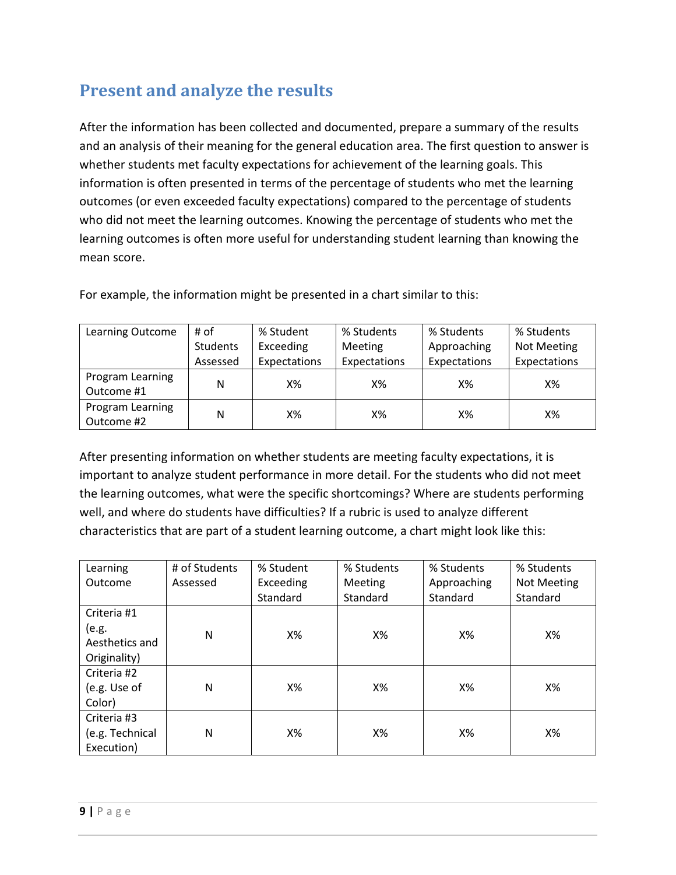### **Present and analyze the results**

After the information has been collected and documented, prepare a summary of the results and an analysis of their meaning for the general education area. The first question to answer is whether students met faculty expectations for achievement of the learning goals. This information is often presented in terms of the percentage of students who met the learning outcomes (or even exceeded faculty expectations) compared to the percentage of students who did not meet the learning outcomes. Knowing the percentage of students who met the learning outcomes is often more useful for understanding student learning than knowing the mean score.

| Learning Outcome               | # of            | % Student    | % Students     | % Students   | % Students   |
|--------------------------------|-----------------|--------------|----------------|--------------|--------------|
|                                | <b>Students</b> | Exceeding    | <b>Meeting</b> | Approaching  | Not Meeting  |
|                                | Assessed        | Expectations | Expectations   | Expectations | Expectations |
| Program Learning<br>Outcome #1 | N               | $X\%$        | Х%             | Х%           | Х%           |
| Program Learning<br>Outcome #2 | N               | Х%           | Х%             | Х%           | Х%           |

For example, the information might be presented in a chart similar to this:

After presenting information on whether students are meeting faculty expectations, it is important to analyze student performance in more detail. For the students who did not meet the learning outcomes, what were the specific shortcomings? Where are students performing well, and where do students have difficulties? If a rubric is used to analyze different characteristics that are part of a student learning outcome, a chart might look like this:

| Learning        | # of Students | % Student | % Students     | % Students  | % Students  |
|-----------------|---------------|-----------|----------------|-------------|-------------|
| Outcome         | Assessed      | Exceeding | <b>Meeting</b> | Approaching | Not Meeting |
|                 |               | Standard  | Standard       | Standard    | Standard    |
| Criteria #1     |               |           |                |             |             |
| (e.g.           | N             | X%        | Х%             | X%          | X%          |
| Aesthetics and  |               |           |                |             |             |
| Originality)    |               |           |                |             |             |
| Criteria #2     |               |           |                |             |             |
| (e.g. Use of    | N             | X%        | Х%             | X%          | X%          |
| Color)          |               |           |                |             |             |
| Criteria #3     |               |           |                |             |             |
| (e.g. Technical | N             | X%        | X%             | $X\%$       | X%          |
| Execution)      |               |           |                |             |             |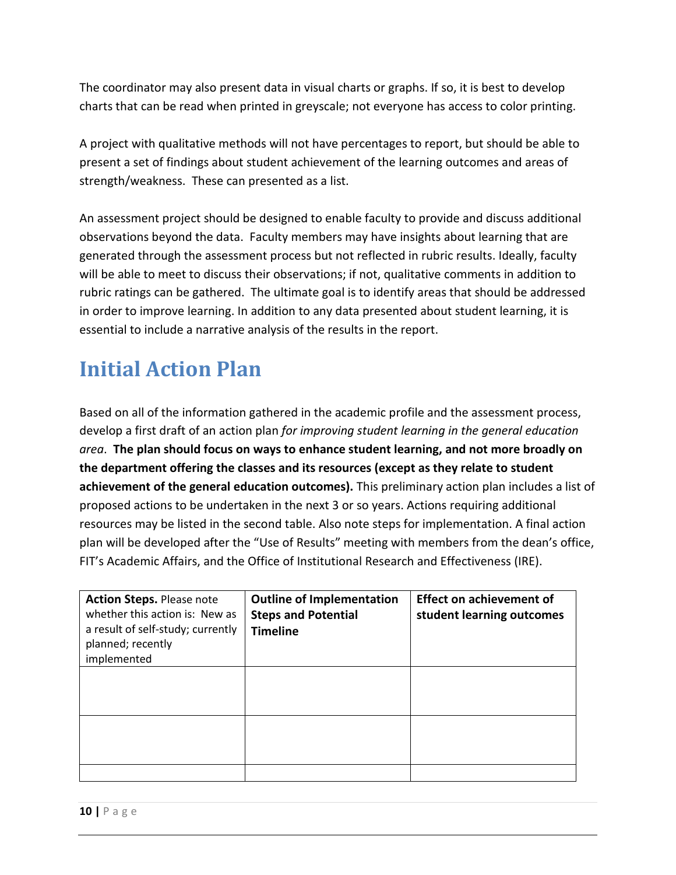The coordinator may also present data in visual charts or graphs. If so, it is best to develop charts that can be read when printed in greyscale; not everyone has access to color printing.

A project with qualitative methods will not have percentages to report, but should be able to present a set of findings about student achievement of the learning outcomes and areas of strength/weakness. These can presented as a list.

An assessment project should be designed to enable faculty to provide and discuss additional observations beyond the data. Faculty members may have insights about learning that are generated through the assessment process but not reflected in rubric results. Ideally, faculty will be able to meet to discuss their observations; if not, qualitative comments in addition to rubric ratings can be gathered. The ultimate goal is to identify areas that should be addressed in order to improve learning. In addition to any data presented about student learning, it is essential to include a narrative analysis of the results in the report.

## <span id="page-10-0"></span>**Initial Action Plan**

Based on all of the information gathered in the academic profile and the assessment process, develop a first draft of an action plan *for improving student learning in the general education area*. **The plan should focus on ways to enhance student learning, and not more broadly on the department offering the classes and its resources (except as they relate to student achievement of the general education outcomes).** This preliminary action plan includes a list of proposed actions to be undertaken in the next 3 or so years. Actions requiring additional resources may be listed in the second table. Also note steps for implementation. A final action plan will be developed after the "Use of Results" meeting with members from the dean's office, FIT's Academic Affairs, and the Office of Institutional Research and Effectiveness (IRE).

| <b>Action Steps. Please note</b><br>whether this action is: New as<br>a result of self-study; currently<br>planned; recently<br>implemented | <b>Outline of Implementation</b><br><b>Steps and Potential</b><br><b>Timeline</b> | <b>Effect on achievement of</b><br>student learning outcomes |
|---------------------------------------------------------------------------------------------------------------------------------------------|-----------------------------------------------------------------------------------|--------------------------------------------------------------|
|                                                                                                                                             |                                                                                   |                                                              |
|                                                                                                                                             |                                                                                   |                                                              |
|                                                                                                                                             |                                                                                   |                                                              |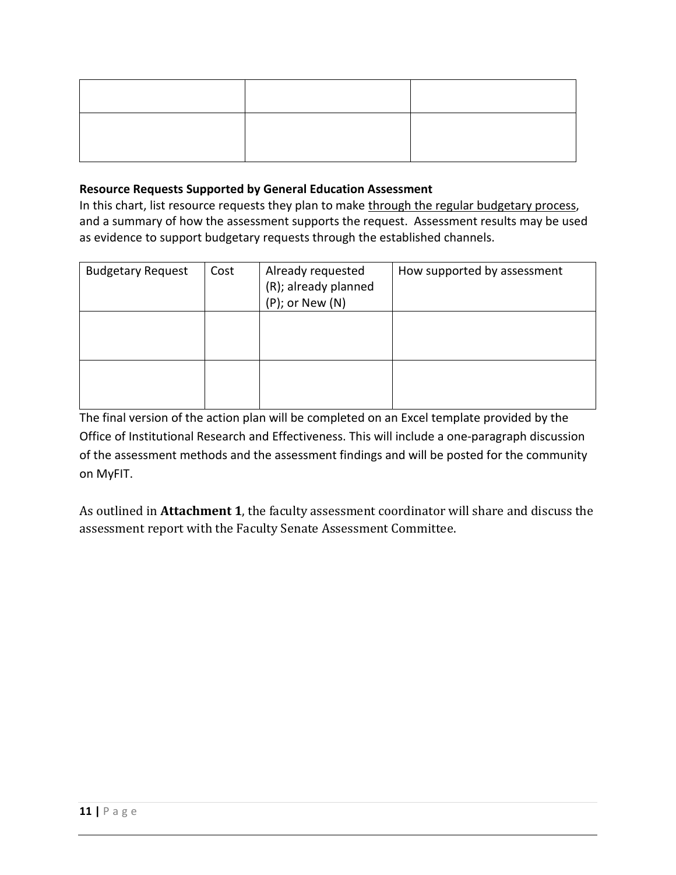#### **Resource Requests Supported by General Education Assessment**

In this chart, list resource requests they plan to make through the regular budgetary process, and a summary of how the assessment supports the request. Assessment results may be used as evidence to support budgetary requests through the established channels.

| <b>Budgetary Request</b> | Cost | Already requested<br>(R); already planned<br>$(P)$ ; or New $(N)$ | How supported by assessment |
|--------------------------|------|-------------------------------------------------------------------|-----------------------------|
|                          |      |                                                                   |                             |
|                          |      |                                                                   |                             |

The final version of the action plan will be completed on an Excel template provided by the Office of Institutional Research and Effectiveness. This will include a one-paragraph discussion of the assessment methods and the assessment findings and will be posted for the community on MyFIT.

As outlined in **Attachment 1**, the faculty assessment coordinator will share and discuss the assessment report with the Faculty Senate Assessment Committee.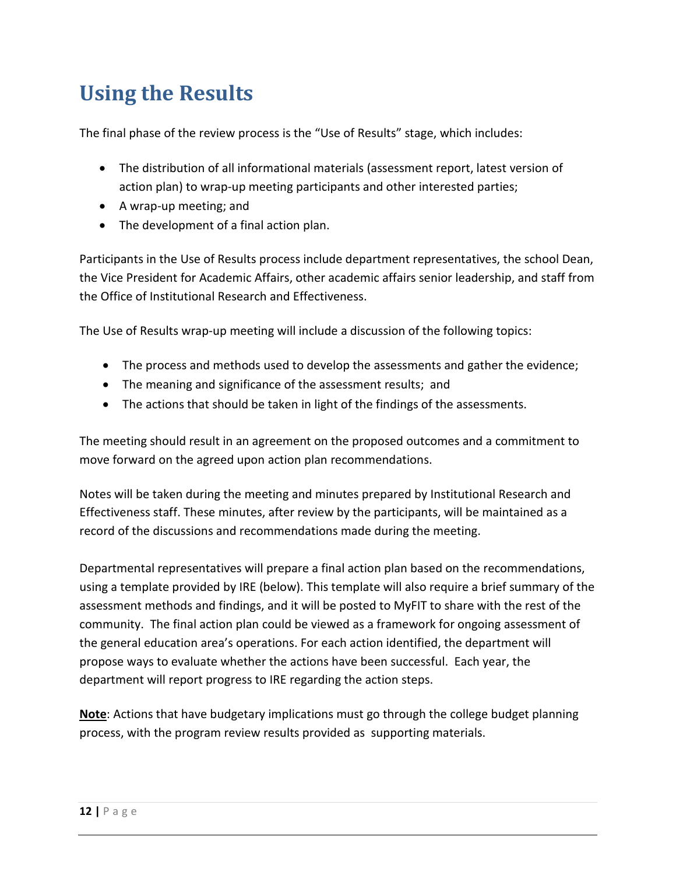## <span id="page-12-0"></span>**Using the Results**

The final phase of the review process is the "Use of Results" stage, which includes:

- The distribution of all informational materials (assessment report, latest version of action plan) to wrap-up meeting participants and other interested parties;
- A wrap-up meeting; and
- The development of a final action plan.

Participants in the Use of Results process include department representatives, the school Dean, the Vice President for Academic Affairs, other academic affairs senior leadership, and staff from the Office of Institutional Research and Effectiveness.

The Use of Results wrap-up meeting will include a discussion of the following topics:

- The process and methods used to develop the assessments and gather the evidence;
- The meaning and significance of the assessment results; and
- The actions that should be taken in light of the findings of the assessments.

The meeting should result in an agreement on the proposed outcomes and a commitment to move forward on the agreed upon action plan recommendations.

Notes will be taken during the meeting and minutes prepared by Institutional Research and Effectiveness staff. These minutes, after review by the participants, will be maintained as a record of the discussions and recommendations made during the meeting.

Departmental representatives will prepare a final action plan based on the recommendations, using a template provided by IRE (below). This template will also require a brief summary of the assessment methods and findings, and it will be posted to MyFIT to share with the rest of the community. The final action plan could be viewed as a framework for ongoing assessment of the general education area's operations. For each action identified, the department will propose ways to evaluate whether the actions have been successful. Each year, the department will report progress to IRE regarding the action steps.

**Note**: Actions that have budgetary implications must go through the college budget planning process, with the program review results provided as supporting materials.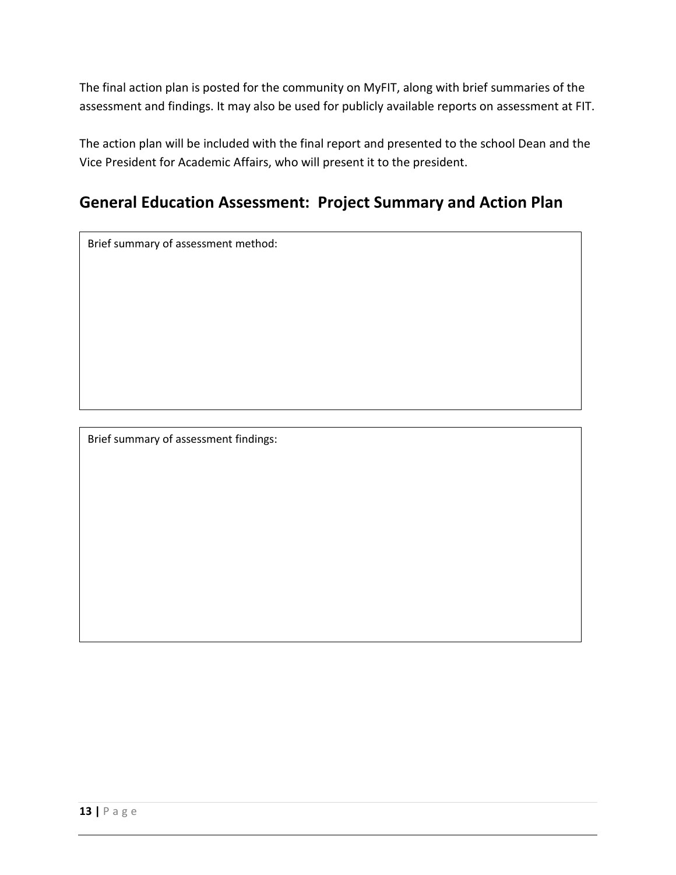The final action plan is posted for the community on MyFIT, along with brief summaries of the assessment and findings. It may also be used for publicly available reports on assessment at FIT.

The action plan will be included with the final report and presented to the school Dean and the Vice President for Academic Affairs, who will present it to the president.

### **General Education Assessment: Project Summary and Action Plan**

Brief summary of assessment method:

Brief summary of assessment findings: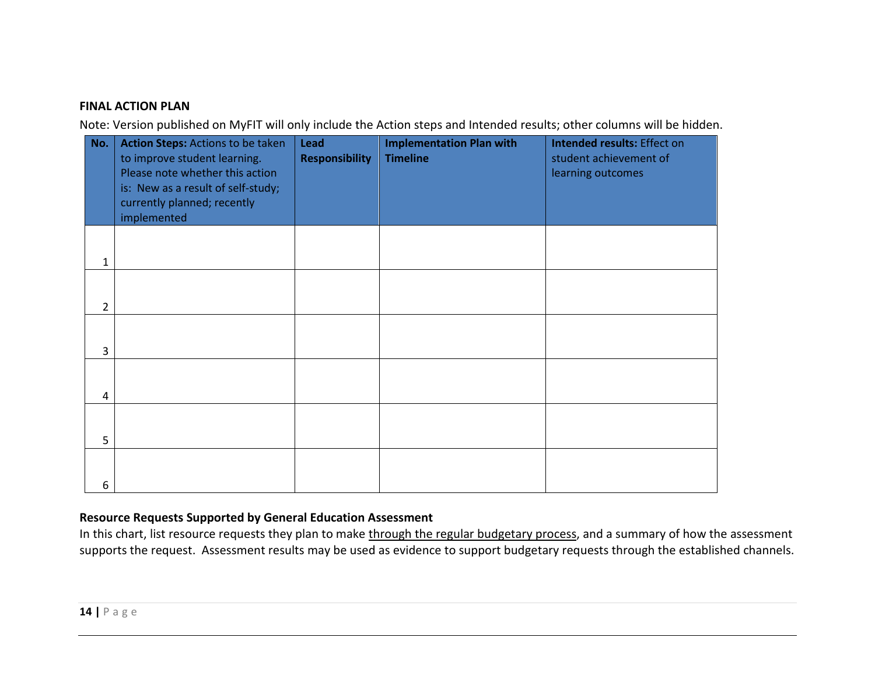#### **FINAL ACTION PLAN**

Note: Version published on MyFIT will only include the Action steps and Intended results; other columns will be hidden.

| No.            | Action Steps: Actions to be taken<br>to improve student learning.<br>Please note whether this action<br>is: New as a result of self-study;<br>currently planned; recently<br>implemented | <b>Lead</b><br><b>Responsibility</b> | <b>Implementation Plan with</b><br><b>Timeline</b> | <b>Intended results: Effect on</b><br>student achievement of<br>learning outcomes |
|----------------|------------------------------------------------------------------------------------------------------------------------------------------------------------------------------------------|--------------------------------------|----------------------------------------------------|-----------------------------------------------------------------------------------|
| 1              |                                                                                                                                                                                          |                                      |                                                    |                                                                                   |
| $\overline{2}$ |                                                                                                                                                                                          |                                      |                                                    |                                                                                   |
| $\overline{3}$ |                                                                                                                                                                                          |                                      |                                                    |                                                                                   |
| 4              |                                                                                                                                                                                          |                                      |                                                    |                                                                                   |
| 5              |                                                                                                                                                                                          |                                      |                                                    |                                                                                   |
| 6              |                                                                                                                                                                                          |                                      |                                                    |                                                                                   |

#### **Resource Requests Supported by General Education Assessment**

In this chart, list resource requests they plan to make through the regular budgetary process, and a summary of how the assessment supports the request. Assessment results may be used as evidence to support budgetary requests through the established channels.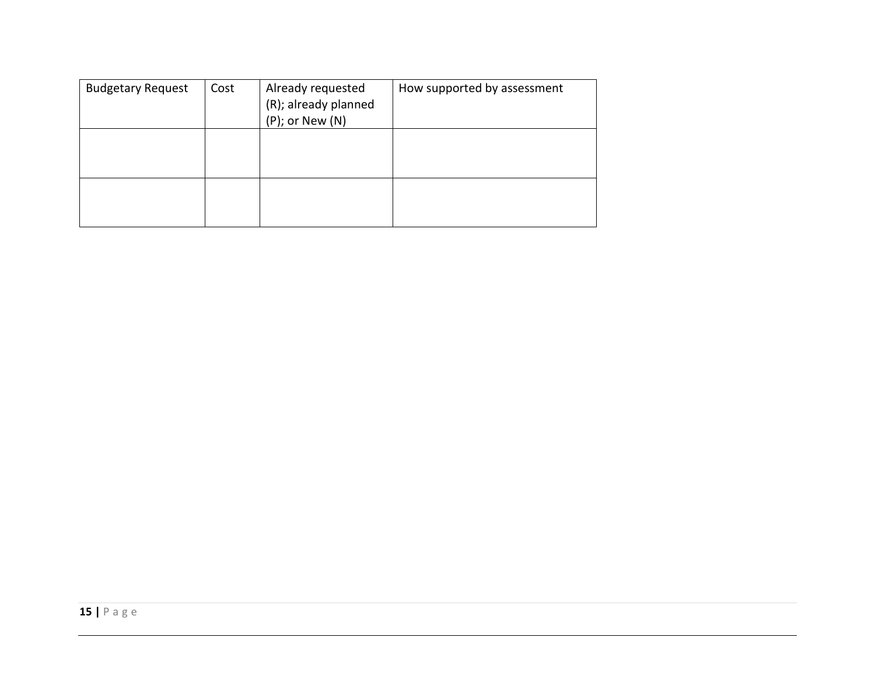| <b>Budgetary Request</b> | Cost | Already requested<br>(R); already planned<br>$(P)$ ; or New $(N)$ | How supported by assessment |
|--------------------------|------|-------------------------------------------------------------------|-----------------------------|
|                          |      |                                                                   |                             |
|                          |      |                                                                   |                             |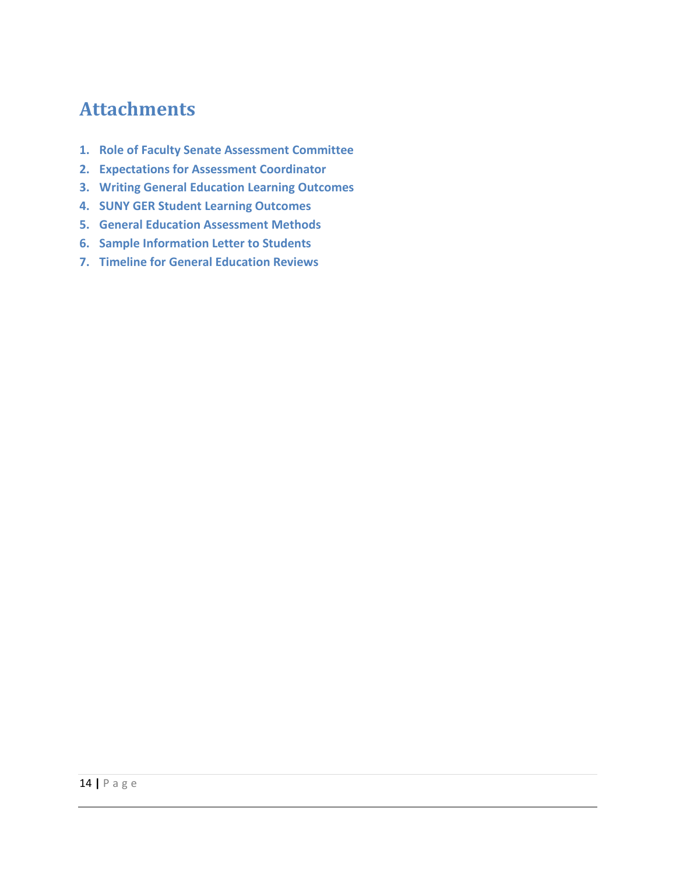### **Attachments**

- **1. Role of Faculty Senate Assessment Committee**
- **2. Expectations for Assessment Coordinator**
- **3. Writing General Education Learning Outcomes**
- **4. SUNY GER Student Learning Outcomes**
- **5. General Education Assessment Methods**
- **6. Sample Information Letter to Students**
- **7. Timeline for General Education Reviews**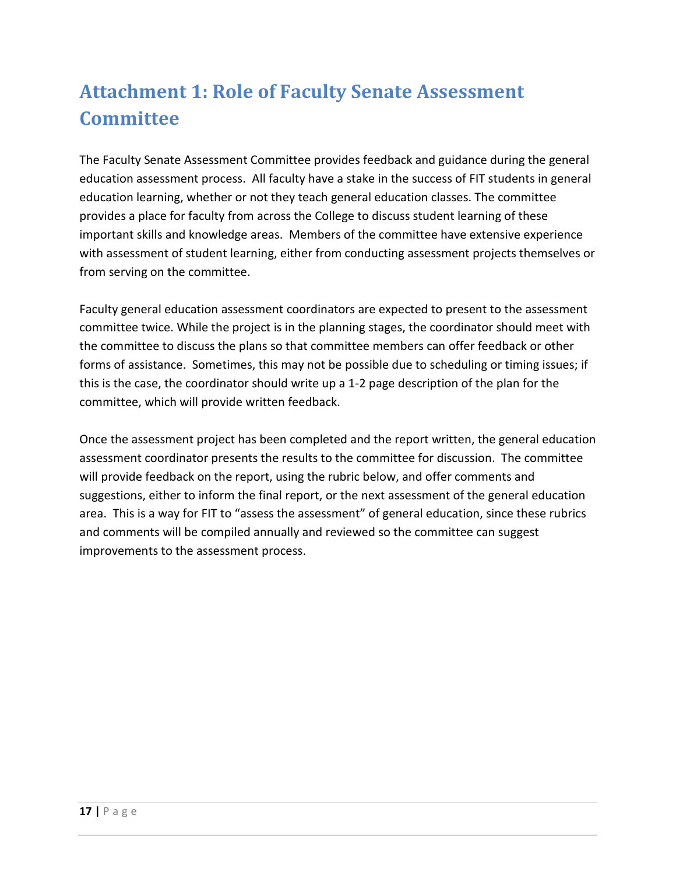## **Attachment 1: Role of Faculty Senate Assessment Committee**

The Faculty Senate Assessment Committee provides feedback and guidance during the general education assessment process. All faculty have a stake in the success of FIT students in general education learning, whether or not they teach general education classes. The committee provides a place for faculty from across the College to discuss student learning of these important skills and knowledge areas. Members of the committee have extensive experience with assessment of student learning, either from conducting assessment projects themselves or from serving on the committee.

Faculty general education assessment coordinators are expected to present to the assessment committee twice. While the project is in the planning stages, the coordinator should meet with the committee to discuss the plans so that committee members can offer feedback or other forms of assistance. Sometimes, this may not be possible due to scheduling or timing issues; if this is the case, the coordinator should write up a 1-2 page description of the plan for the committee, which will provide written feedback.

Once the assessment project has been completed and the report written, the general education assessment coordinator presents the results to the committee for discussion. The committee will provide feedback on the report, using the rubric below, and offer comments and suggestions, either to inform the final report, or the next assessment of the general education area. This is a way for FIT to "assess the assessment" of general education, since these rubrics and comments will be compiled annually and reviewed so the committee can suggest improvements to the assessment process.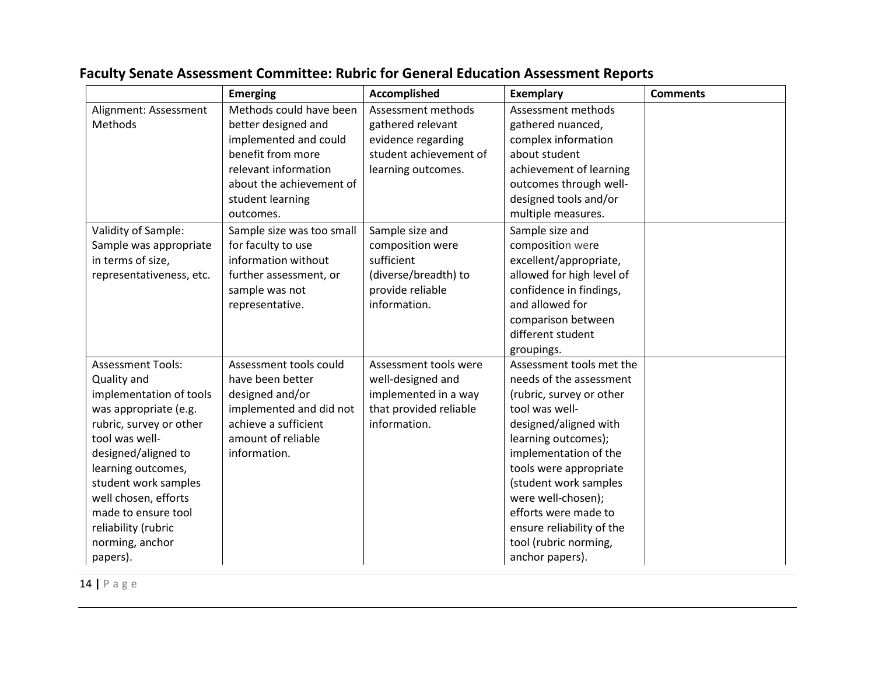|                          | <b>Emerging</b>           | Accomplished           | <b>Exemplary</b>          | <b>Comments</b> |
|--------------------------|---------------------------|------------------------|---------------------------|-----------------|
| Alignment: Assessment    | Methods could have been   | Assessment methods     | Assessment methods        |                 |
| Methods                  | better designed and       | gathered relevant      | gathered nuanced,         |                 |
|                          | implemented and could     | evidence regarding     | complex information       |                 |
|                          | benefit from more         | student achievement of | about student             |                 |
|                          | relevant information      | learning outcomes.     | achievement of learning   |                 |
|                          | about the achievement of  |                        | outcomes through well-    |                 |
|                          | student learning          |                        | designed tools and/or     |                 |
|                          | outcomes.                 |                        | multiple measures.        |                 |
| Validity of Sample:      | Sample size was too small | Sample size and        | Sample size and           |                 |
| Sample was appropriate   | for faculty to use        | composition were       | composition were          |                 |
| in terms of size,        | information without       | sufficient             | excellent/appropriate,    |                 |
| representativeness, etc. | further assessment, or    | (diverse/breadth) to   | allowed for high level of |                 |
|                          | sample was not            | provide reliable       | confidence in findings,   |                 |
|                          | representative.           | information.           | and allowed for           |                 |
|                          |                           |                        | comparison between        |                 |
|                          |                           |                        | different student         |                 |
|                          |                           |                        | groupings.                |                 |
| <b>Assessment Tools:</b> | Assessment tools could    | Assessment tools were  | Assessment tools met the  |                 |
| Quality and              | have been better          | well-designed and      | needs of the assessment   |                 |
| implementation of tools  | designed and/or           | implemented in a way   | (rubric, survey or other  |                 |
| was appropriate (e.g.    | implemented and did not   | that provided reliable | tool was well-            |                 |
| rubric, survey or other  | achieve a sufficient      | information.           | designed/aligned with     |                 |
| tool was well-           | amount of reliable        |                        | learning outcomes);       |                 |
| designed/aligned to      | information.              |                        | implementation of the     |                 |
| learning outcomes,       |                           |                        | tools were appropriate    |                 |
| student work samples     |                           |                        | (student work samples     |                 |
| well chosen, efforts     |                           |                        | were well-chosen);        |                 |
| made to ensure tool      |                           |                        | efforts were made to      |                 |
| reliability (rubric      |                           |                        | ensure reliability of the |                 |
| norming, anchor          |                           |                        | tool (rubric norming,     |                 |
| papers).                 |                           |                        | anchor papers).           |                 |

### **Faculty Senate Assessment Committee: Rubric for General Education Assessment Reports**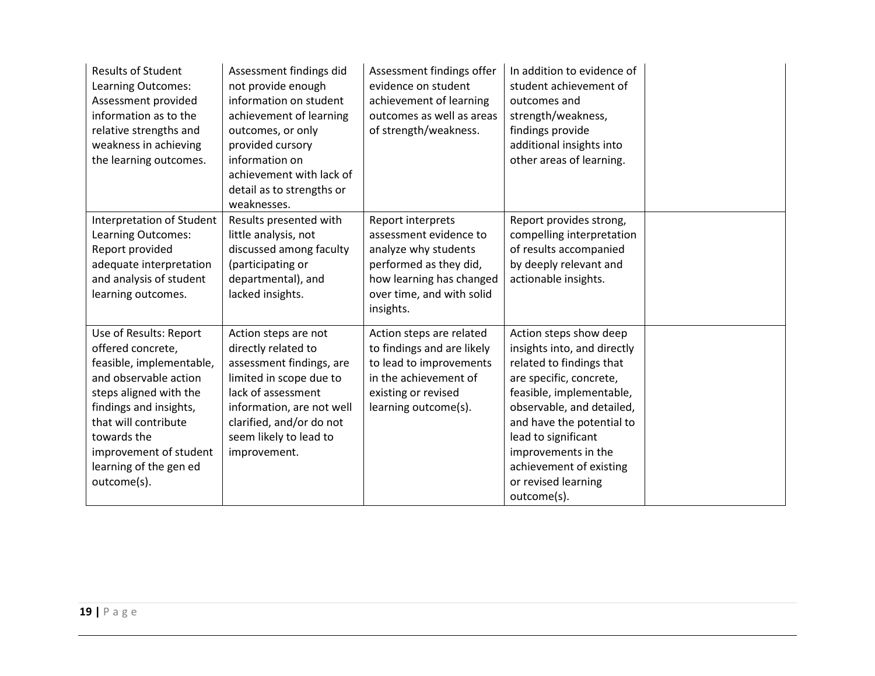| <b>Results of Student</b><br>Learning Outcomes:<br>Assessment provided<br>information as to the<br>relative strengths and<br>weakness in achieving<br>the learning outcomes.                                                                                   | Assessment findings did<br>not provide enough<br>information on student<br>achievement of learning<br>outcomes, or only<br>provided cursory<br>information on<br>achievement with lack of<br>detail as to strengths or<br>weaknesses. | Assessment findings offer<br>evidence on student<br>achievement of learning<br>outcomes as well as areas<br>of strength/weakness.                                   | In addition to evidence of<br>student achievement of<br>outcomes and<br>strength/weakness,<br>findings provide<br>additional insights into<br>other areas of learning.                                                                                                                                            |  |
|----------------------------------------------------------------------------------------------------------------------------------------------------------------------------------------------------------------------------------------------------------------|---------------------------------------------------------------------------------------------------------------------------------------------------------------------------------------------------------------------------------------|---------------------------------------------------------------------------------------------------------------------------------------------------------------------|-------------------------------------------------------------------------------------------------------------------------------------------------------------------------------------------------------------------------------------------------------------------------------------------------------------------|--|
| Interpretation of Student<br>Learning Outcomes:<br>Report provided<br>adequate interpretation<br>and analysis of student<br>learning outcomes.                                                                                                                 | Results presented with<br>little analysis, not<br>discussed among faculty<br>(participating or<br>departmental), and<br>lacked insights.                                                                                              | Report interprets<br>assessment evidence to<br>analyze why students<br>performed as they did,<br>how learning has changed<br>over time, and with solid<br>insights. | Report provides strong,<br>compelling interpretation<br>of results accompanied<br>by deeply relevant and<br>actionable insights.                                                                                                                                                                                  |  |
| Use of Results: Report<br>offered concrete,<br>feasible, implementable,<br>and observable action<br>steps aligned with the<br>findings and insights,<br>that will contribute<br>towards the<br>improvement of student<br>learning of the gen ed<br>outcome(s). | Action steps are not<br>directly related to<br>assessment findings, are<br>limited in scope due to<br>lack of assessment<br>information, are not well<br>clarified, and/or do not<br>seem likely to lead to<br>improvement.           | Action steps are related<br>to findings and are likely<br>to lead to improvements<br>in the achievement of<br>existing or revised<br>learning outcome(s).           | Action steps show deep<br>insights into, and directly<br>related to findings that<br>are specific, concrete,<br>feasible, implementable,<br>observable, and detailed,<br>and have the potential to<br>lead to significant<br>improvements in the<br>achievement of existing<br>or revised learning<br>outcome(s). |  |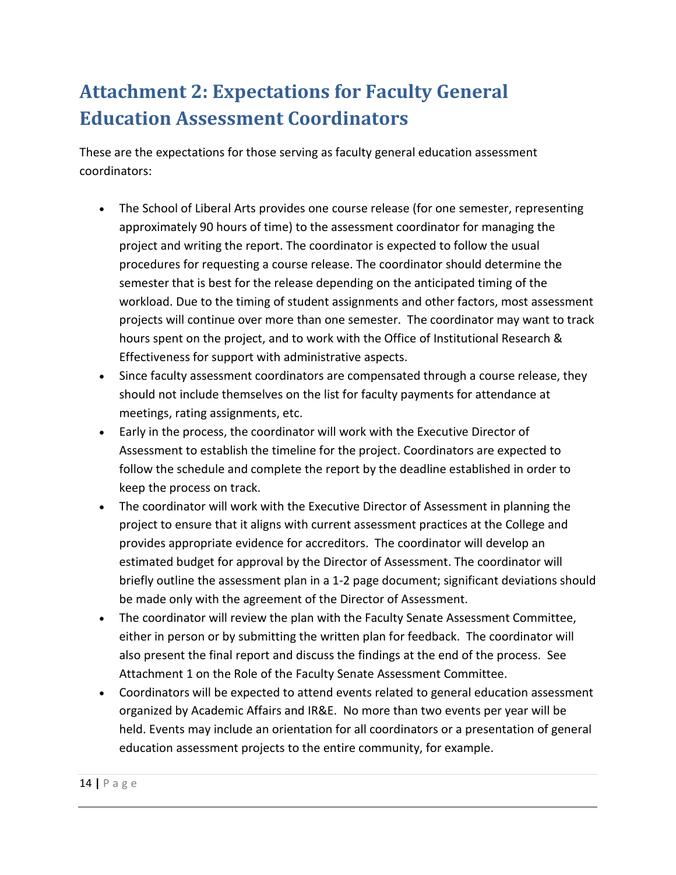## <span id="page-20-0"></span>**Attachment 2: Expectations for Faculty General Education Assessment Coordinators**

These are the expectations for those serving as faculty general education assessment coordinators:

- The School of Liberal Arts provides one course release (for one semester, representing approximately 90 hours of time) to the assessment coordinator for managing the project and writing the report. The coordinator is expected to follow the usual procedures for requesting a course release. The coordinator should determine the semester that is best for the release depending on the anticipated timing of the workload. Due to the timing of student assignments and other factors, most assessment projects will continue over more than one semester. The coordinator may want to track hours spent on the project, and to work with the Office of Institutional Research & Effectiveness for support with administrative aspects.
- Since faculty assessment coordinators are compensated through a course release, they should not include themselves on the list for faculty payments for attendance at meetings, rating assignments, etc.
- Early in the process, the coordinator will work with the Executive Director of Assessment to establish the timeline for the project. Coordinators are expected to follow the schedule and complete the report by the deadline established in order to keep the process on track.
- The coordinator will work with the Executive Director of Assessment in planning the project to ensure that it aligns with current assessment practices at the College and provides appropriate evidence for accreditors. The coordinator will develop an estimated budget for approval by the Director of Assessment. The coordinator will briefly outline the assessment plan in a 1-2 page document; significant deviations should be made only with the agreement of the Director of Assessment.
- The coordinator will review the plan with the Faculty Senate Assessment Committee, either in person or by submitting the written plan for feedback. The coordinator will also present the final report and discuss the findings at the end of the process. See Attachment 1 on the Role of the Faculty Senate Assessment Committee.
- Coordinators will be expected to attend events related to general education assessment organized by Academic Affairs and IR&E. No more than two events per year will be held. Events may include an orientation for all coordinators or a presentation of general education assessment projects to the entire community, for example.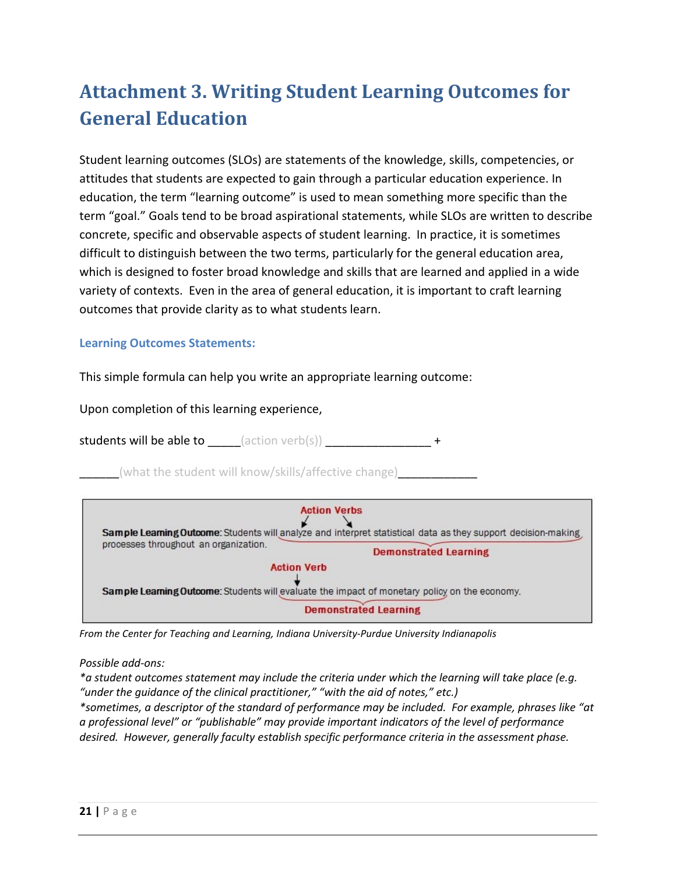## <span id="page-21-0"></span>**Attachment 3. Writing Student Learning Outcomes for General Education**

Student learning outcomes (SLOs) are statements of the knowledge, skills, competencies, or attitudes that students are expected to gain through a particular education experience. In education, the term "learning outcome" is used to mean something more specific than the term "goal." Goals tend to be broad aspirational statements, while SLOs are written to describe concrete, specific and observable aspects of student learning. In practice, it is sometimes difficult to distinguish between the two terms, particularly for the general education area, which is designed to foster broad knowledge and skills that are learned and applied in a wide variety of contexts. Even in the area of general education, it is important to craft learning outcomes that provide clarity as to what students learn.

#### **Learning Outcomes Statements:**

This simple formula can help you write an appropriate learning outcome:

Upon completion of this learning experience,

students will be able to  $\qquad \qquad$  (action verb(s)) \_\_\_\_\_\_\_\_\_\_\_\_\_\_\_\_\_\_\_\_\_+

(what the student will know/skills/affective change)



*From the Center for Teaching and Learning, Indiana University-Purdue University Indianapolis*

*Possible add-ons:* 

*\*a student outcomes statement may include the criteria under which the learning will take place (e.g. "under the guidance of the clinical practitioner," "with the aid of notes," etc.) \*sometimes, a descriptor of the standard of performance may be included. For example, phrases like "at a professional level" or "publishable" may provide important indicators of the level of performance desired. However, generally faculty establish specific performance criteria in the assessment phase.*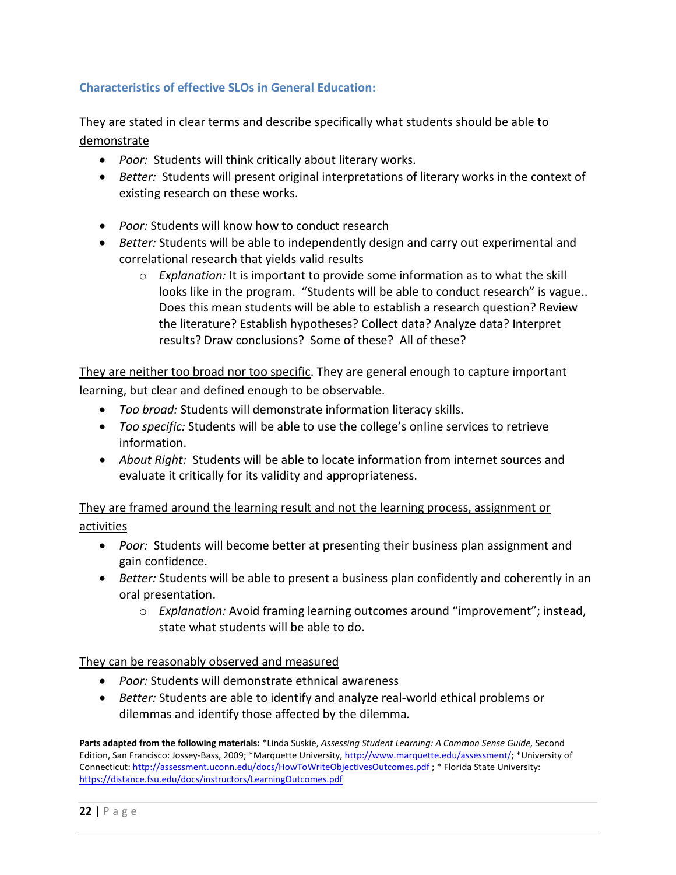#### **Characteristics of effective SLOs in General Education:**

They are stated in clear terms and describe specifically what students should be able to demonstrate

- *Poor:* Students will think critically about literary works.
- *Better:* Students will present original interpretations of literary works in the context of existing research on these works.
- *Poor:* Students will know how to conduct research
- *Better:* Students will be able to independently design and carry out experimental and correlational research that yields valid results
	- o *Explanation:* It is important to provide some information as to what the skill looks like in the program. "Students will be able to conduct research" is vague.. Does this mean students will be able to establish a research question? Review the literature? Establish hypotheses? Collect data? Analyze data? Interpret results? Draw conclusions? Some of these? All of these?

They are neither too broad nor too specific. They are general enough to capture important learning, but clear and defined enough to be observable.

- *Too broad:* Students will demonstrate information literacy skills.
- *Too specific:* Students will be able to use the college's online services to retrieve information.
- *About Right:* Students will be able to locate information from internet sources and evaluate it critically for its validity and appropriateness.

They are framed around the learning result and not the learning process, assignment or activities

- *Poor:* Students will become better at presenting their business plan assignment and gain confidence.
- *Better:* Students will be able to present a business plan confidently and coherently in an oral presentation.
	- o *Explanation:* Avoid framing learning outcomes around "improvement"; instead, state what students will be able to do.

They can be reasonably observed and measured

- *Poor:* Students will demonstrate ethnical awareness
- *Better:* Students are able to identify and analyze real-world ethical problems or dilemmas and identify those affected by the dilemma*.*

**Parts adapted from the following materials:** \*Linda Suskie, *Assessing Student Learning: A Common Sense Guide,* Second Edition, San Francisco: Jossey-Bass, 2009; \*Marquette University[, http://www.marquette.edu/assessment/;](http://www.marquette.edu/assessment/) \*University of Connecticut[: http://assessment.uconn.edu/docs/HowToWriteObjectivesOutcomes.pdf](http://assessment.uconn.edu/docs/HowToWriteObjectivesOutcomes.pdf) ; \* Florida State University: <https://distance.fsu.edu/docs/instructors/LearningOutcomes.pdf>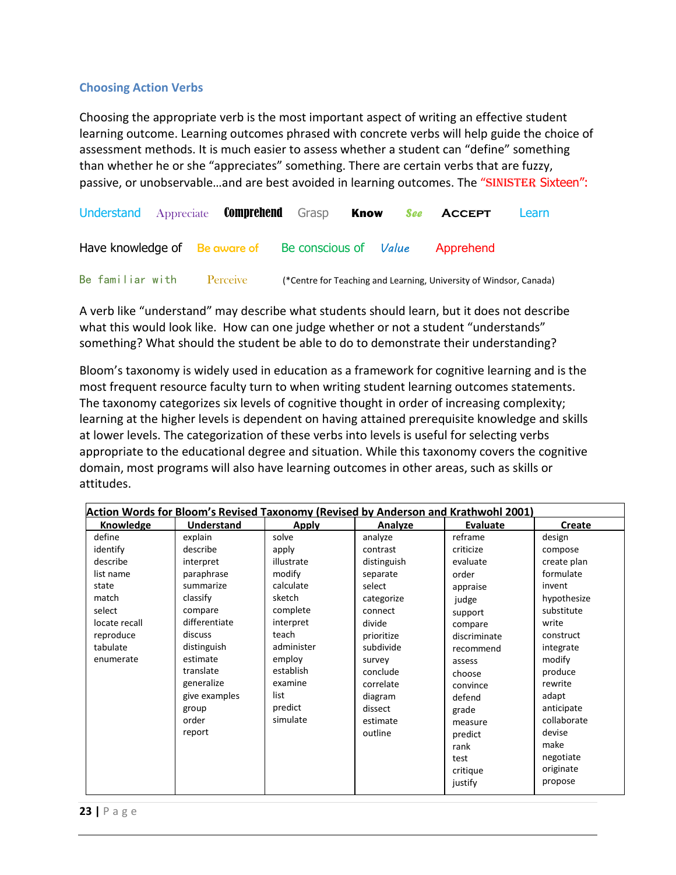#### **Choosing Action Verbs**

Choosing the appropriate verb is the most important aspect of writing an effective student learning outcome. Learning outcomes phrased with concrete verbs will help guide the choice of assessment methods. It is much easier to assess whether a student can "define" something than whether he or she "appreciates" something. There are certain verbs that are fuzzy, passive, or unobservable...and are best avoided in learning outcomes. The "SINISTER Sixteen":

| Understand Appreciate <b>Comprehend</b> Grasp              |  |  |  | <b>Know</b> <i>See</i> <b>ACCEPT</b>                               | Learn |
|------------------------------------------------------------|--|--|--|--------------------------------------------------------------------|-------|
| Have knowledge of Be aware of Be conscious of <i>Value</i> |  |  |  | Apprehend                                                          |       |
| Be familiar with Perceive                                  |  |  |  | (*Centre for Teaching and Learning, University of Windsor, Canada) |       |

A verb like "understand" may describe what students should learn, but it does not describe what this would look like. How can one judge whether or not a student "understands" something? What should the student be able to do to demonstrate their understanding?

Bloom's taxonomy is widely used in education as a framework for cognitive learning and is the most frequent resource faculty turn to when writing student learning outcomes statements. The taxonomy categorizes six levels of cognitive thought in order of increasing complexity; learning at the higher levels is dependent on having attained prerequisite knowledge and skills at lower levels. The categorization of these verbs into levels is useful for selecting verbs appropriate to the educational degree and situation. While this taxonomy covers the cognitive domain, most programs will also have learning outcomes in other areas, such as skills or attitudes.

| Action Words for Bloom's Revised Taxonomy (Revised by Anderson and Krathwohl 2001) |                   |              |             |              |             |  |  |
|------------------------------------------------------------------------------------|-------------------|--------------|-------------|--------------|-------------|--|--|
| Knowledge                                                                          | <b>Understand</b> | <b>Apply</b> | Analyze     | Evaluate     | Create      |  |  |
| define                                                                             | explain           | solve        | analyze     | reframe      | design      |  |  |
| identify                                                                           | describe          | apply        | contrast    | criticize    | compose     |  |  |
| describe                                                                           | interpret         | illustrate   | distinguish | evaluate     | create plan |  |  |
| list name                                                                          | paraphrase        | modify       | separate    | order        | formulate   |  |  |
| state                                                                              | summarize         | calculate    | select      | appraise     | invent      |  |  |
| match                                                                              | classify          | sketch       | categorize  | judge        | hypothesize |  |  |
| select                                                                             | compare           | complete     | connect     | support      | substitute  |  |  |
| locate recall                                                                      | differentiate     | interpret    | divide      | compare      | write       |  |  |
| reproduce                                                                          | discuss           | teach        | prioritize  | discriminate | construct   |  |  |
| tabulate                                                                           | distinguish       | administer   | subdivide   | recommend    | integrate   |  |  |
| enumerate                                                                          | estimate          | employ       | survey      | assess       | modify      |  |  |
|                                                                                    | translate         | establish    | conclude    | choose       | produce     |  |  |
|                                                                                    | generalize        | examine      | correlate   | convince     | rewrite     |  |  |
|                                                                                    | give examples     | list         | diagram     | defend       | adapt       |  |  |
|                                                                                    | group             | predict      | dissect     | grade        | anticipate  |  |  |
|                                                                                    | order             | simulate     | estimate    | measure      | collaborate |  |  |
|                                                                                    | report            |              | outline     | predict      | devise      |  |  |
|                                                                                    |                   |              |             | rank         | make        |  |  |
|                                                                                    |                   |              |             | test         | negotiate   |  |  |
|                                                                                    |                   |              |             | critique     | originate   |  |  |
|                                                                                    |                   |              |             | justify      | propose     |  |  |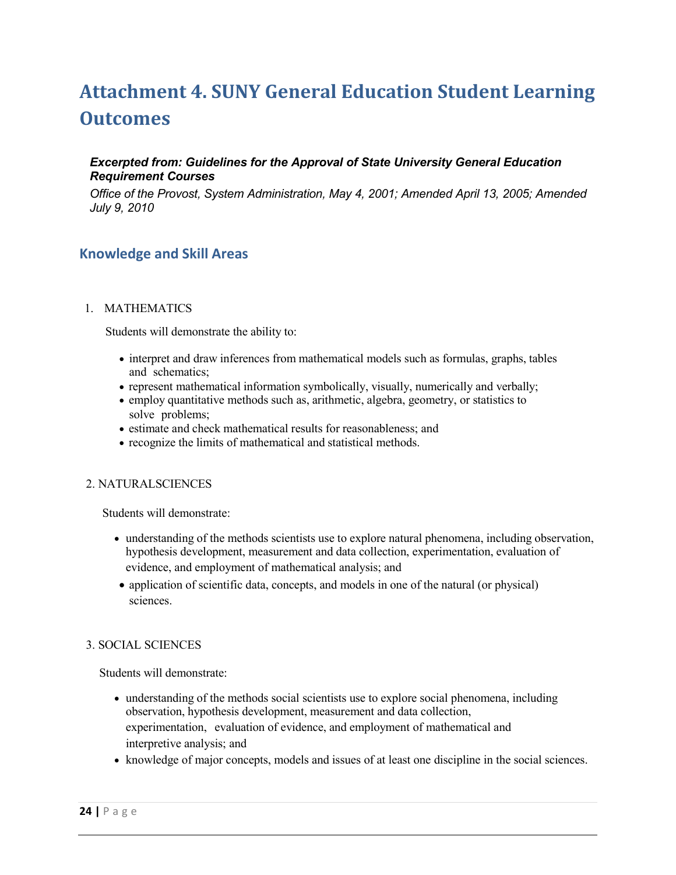## <span id="page-24-0"></span>**Attachment 4. SUNY General Education Student Learning Outcomes**

#### *Excerpted from: Guidelines for the Approval of State University General Education Requirement Courses*

*Office of the Provost, System Administration, May 4, 2001; Amended April 13, 2005; Amended July 9, 2010*

#### **Knowledge and Skill Areas**

#### 1. MATHEMATICS

Students will demonstrate the ability to:

- interpret and draw inferences from mathematical models such as formulas, graphs, tables and schematics;
- represent mathematical information symbolically, visually, numerically and verbally;
- employ quantitative methods such as, arithmetic, algebra, geometry, or statistics to solve problems;
- estimate and check mathematical results for reasonableness; and
- recognize the limits of mathematical and statistical methods.

#### 2. NATURALSCIENCES

Students will demonstrate:

- understanding of the methods scientists use to explore natural phenomena, including observation, hypothesis development, measurement and data collection, experimentation, evaluation of evidence, and employment of mathematical analysis; and
- application of scientific data, concepts, and models in one of the natural (or physical) sciences.

#### 3. SOCIAL SCIENCES

Students will demonstrate:

- understanding of the methods social scientists use to explore social phenomena, including observation, hypothesis development, measurement and data collection, experimentation, evaluation of evidence, and employment of mathematical and interpretive analysis; and
- knowledge of major concepts, models and issues of at least one discipline in the social sciences.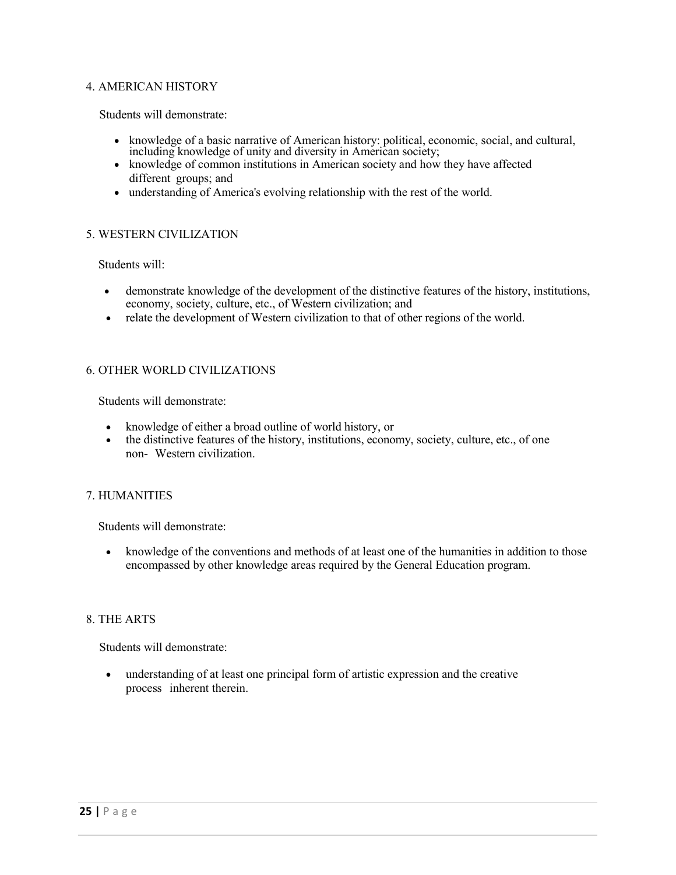#### 4. AMERICAN HISTORY

Students will demonstrate:

- knowledge of a basic narrative of American history: political, economic, social, and cultural, including knowledge of unity and diversity in American society;
- knowledge of common institutions in American society and how they have affected different groups; and
- understanding of America's evolving relationship with the rest of the world.

#### 5. WESTERN CIVILIZATION

Students will:

- demonstrate knowledge of the development of the distinctive features of the history, institutions, economy, society, culture, etc., of Western civilization; and
- relate the development of Western civilization to that of other regions of the world.

#### 6. OTHER WORLD CIVILIZATIONS

Students will demonstrate:

- knowledge of either a broad outline of world history, or
- the distinctive features of the history, institutions, economy, society, culture, etc., of one non- Western civilization.

#### 7. HUMANITIES

Students will demonstrate:

• knowledge of the conventions and methods of at least one of the humanities in addition to those encompassed by other knowledge areas required by the General Education program.

#### 8. THE ARTS

Students will demonstrate:

• understanding of at least one principal form of artistic expression and the creative process inherent therein.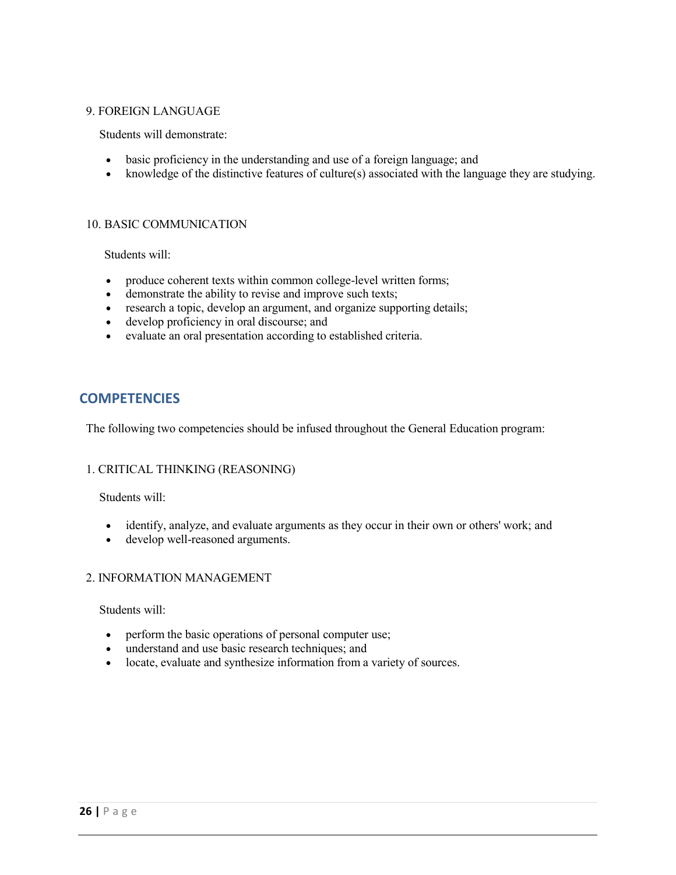#### 9. FOREIGN LANGUAGE

Students will demonstrate:

- basic proficiency in the understanding and use of a foreign language; and
- knowledge of the distinctive features of culture(s) associated with the language they are studying.

#### 10. BASIC COMMUNICATION

Students will:

- produce coherent texts within common college-level written forms;
- demonstrate the ability to revise and improve such texts;
- research a topic, develop an argument, and organize supporting details;
- develop proficiency in oral discourse; and
- evaluate an oral presentation according to established criteria.

#### **COMPETENCIES**

The following two competencies should be infused throughout the General Education program:

#### 1. CRITICAL THINKING (REASONING)

Students will:

- identify, analyze, and evaluate arguments as they occur in their own or others' work; and
- develop well-reasoned arguments.

#### 2. INFORMATION MANAGEMENT

Students will:

- perform the basic operations of personal computer use;
- understand and use basic research techniques; and
- locate, evaluate and synthesize information from a variety of sources.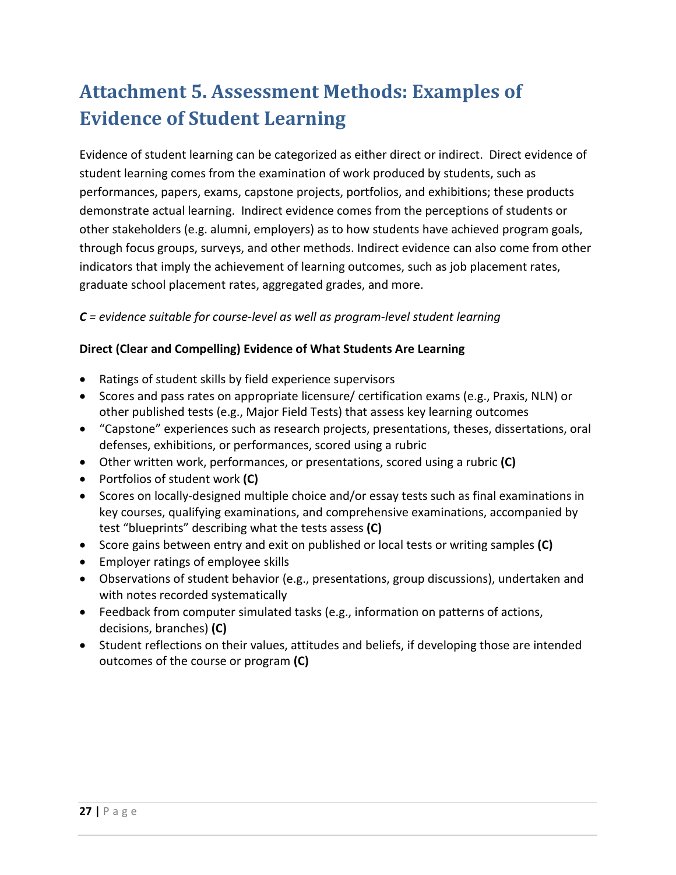## <span id="page-27-0"></span>**Attachment 5. Assessment Methods: Examples of Evidence of Student Learning**

Evidence of student learning can be categorized as either direct or indirect. Direct evidence of student learning comes from the examination of work produced by students, such as performances, papers, exams, capstone projects, portfolios, and exhibitions; these products demonstrate actual learning. Indirect evidence comes from the perceptions of students or other stakeholders (e.g. alumni, employers) as to how students have achieved program goals, through focus groups, surveys, and other methods. Indirect evidence can also come from other indicators that imply the achievement of learning outcomes, such as job placement rates, graduate school placement rates, aggregated grades, and more.

#### *C = evidence suitable for course-level as well as program-level student learning*

#### **Direct (Clear and Compelling) Evidence of What Students Are Learning**

- Ratings of student skills by field experience supervisors
- Scores and pass rates on appropriate licensure/ certification exams (e.g., Praxis, NLN) or other published tests (e.g., Major Field Tests) that assess key learning outcomes
- "Capstone" experiences such as research projects, presentations, theses, dissertations, oral defenses, exhibitions, or performances, scored using a rubric
- Other written work, performances, or presentations, scored using a rubric **(C)**
- Portfolios of student work **(C)**
- Scores on locally-designed multiple choice and/or essay tests such as final examinations in key courses, qualifying examinations, and comprehensive examinations, accompanied by test "blueprints" describing what the tests assess **(C)**
- Score gains between entry and exit on published or local tests or writing samples **(C)**
- Employer ratings of employee skills
- Observations of student behavior (e.g., presentations, group discussions), undertaken and with notes recorded systematically
- Feedback from computer simulated tasks (e.g., information on patterns of actions, decisions, branches) **(C)**
- Student reflections on their values, attitudes and beliefs, if developing those are intended outcomes of the course or program **(C)**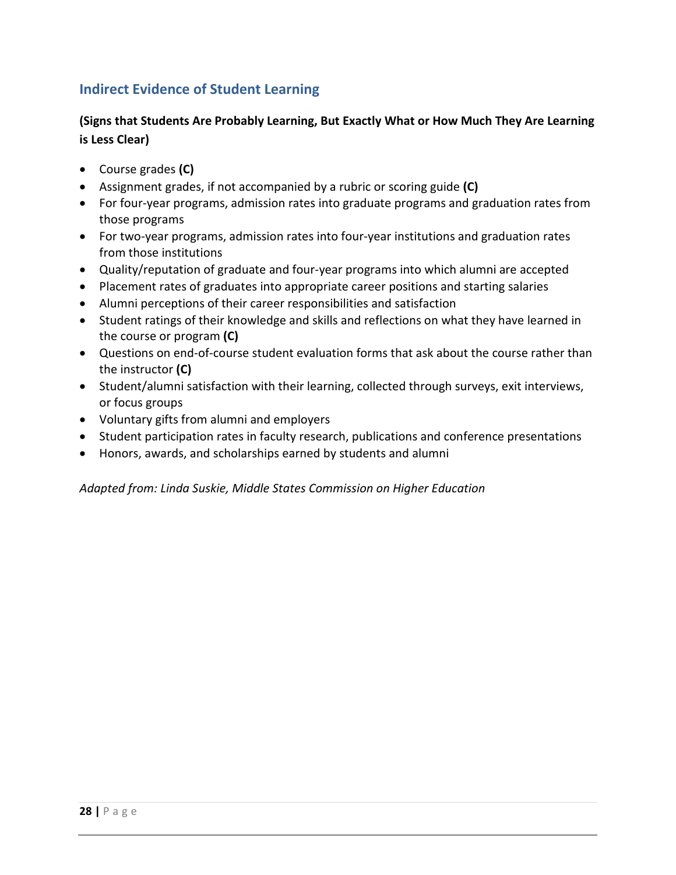#### **Indirect Evidence of Student Learning**

#### **(Signs that Students Are Probably Learning, But Exactly What or How Much They Are Learning is Less Clear)**

- Course grades **(C)**
- Assignment grades, if not accompanied by a rubric or scoring guide **(C)**
- For four-year programs, admission rates into graduate programs and graduation rates from those programs
- For two-year programs, admission rates into four-year institutions and graduation rates from those institutions
- Quality/reputation of graduate and four-year programs into which alumni are accepted
- Placement rates of graduates into appropriate career positions and starting salaries
- Alumni perceptions of their career responsibilities and satisfaction
- Student ratings of their knowledge and skills and reflections on what they have learned in the course or program **(C)**
- Questions on end-of-course student evaluation forms that ask about the course rather than the instructor **(C)**
- Student/alumni satisfaction with their learning, collected through surveys, exit interviews, or focus groups
- Voluntary gifts from alumni and employers
- Student participation rates in faculty research, publications and conference presentations
- Honors, awards, and scholarships earned by students and alumni

*Adapted from: Linda Suskie, Middle States Commission on Higher Education*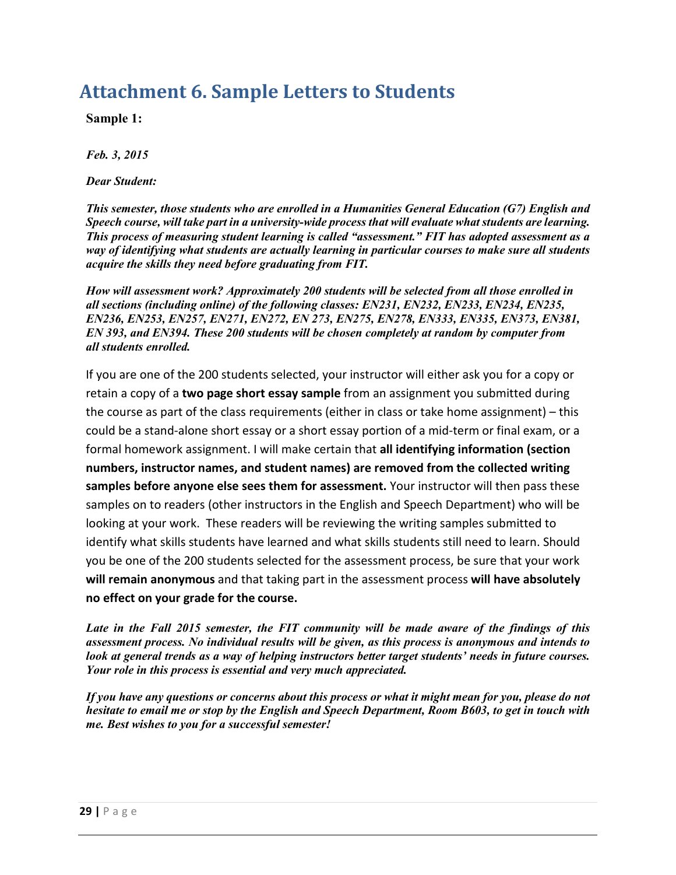### <span id="page-29-0"></span>**Attachment 6. Sample Letters to Students**

**Sample 1:**

*Feb. 3, 2015*

*Dear Student:*

*This semester, those students who are enrolled in a Humanities General Education (G7) English and Speech course, will take part in a university-wide process that will evaluate what students are learning. This process of measuring student learning is called "assessment." FIT has adopted assessment as a way of identifying what students are actually learning in particular courses to make sure all students acquire the skills they need before graduating from FIT.*

*How will assessment work? Approximately 200 students will be selected from all those enrolled in all sections (including online) of the following classes: EN231, EN232, EN233, EN234, EN235, EN236, EN253, EN257, EN271, EN272, EN 273, EN275, EN278, EN333, EN335, EN373, EN381, EN 393, and EN394. These 200 students will be chosen completely at random by computer from all students enrolled.*

If you are one of the 200 students selected, your instructor will either ask you for a copy or retain a copy of a **two page short essay sample** from an assignment you submitted during the course as part of the class requirements (either in class or take home assignment) – this could be a stand-alone short essay or a short essay portion of a mid-term or final exam, or a formal homework assignment. I will make certain that **all identifying information (section numbers, instructor names, and student names) are removed from the collected writing samples before anyone else sees them for assessment.** Your instructor will then pass these samples on to readers (other instructors in the English and Speech Department) who will be looking at your work. These readers will be reviewing the writing samples submitted to identify what skills students have learned and what skills students still need to learn. Should you be one of the 200 students selected for the assessment process, be sure that your work **will remain anonymous** and that taking part in the assessment process **will have absolutely no effect on your grade for the course.**

*Late in the Fall 2015 semester, the FIT community will be made aware of the findings of this assessment process. No individual results will be given, as this process is anonymous and intends to look at general trends as a way of helping instructors better target students' needs in future courses. Your role in this process is essential and very much appreciated.*

*If you have any questions or concerns about this process or what it might mean for you, please do not hesitate to email me or stop by the English and Speech Department, Room B603, to get in touch with me. Best wishes to you for a successful semester!*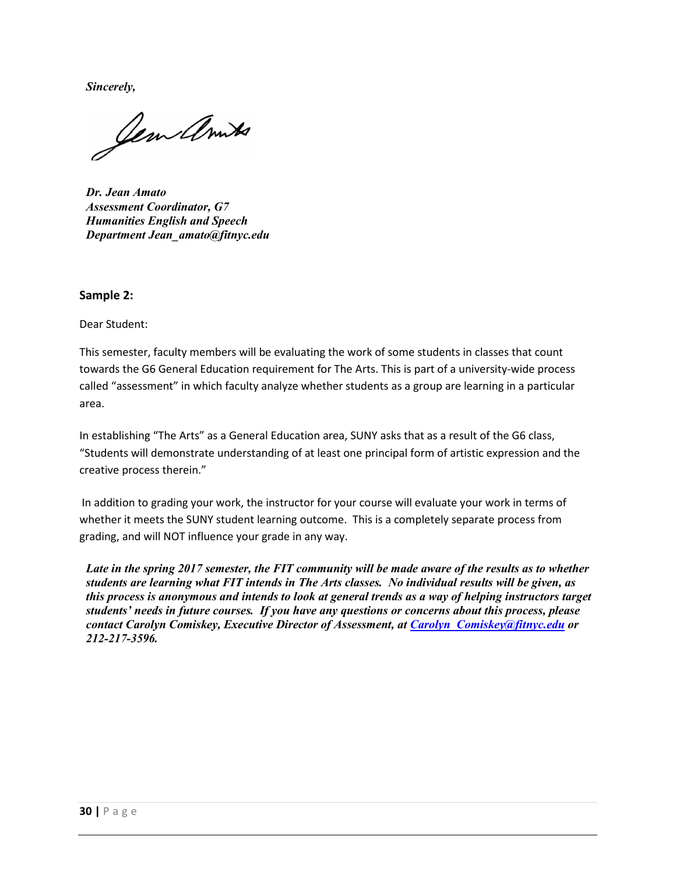*Sincerely,*

Jem ambs

*Dr. Jean Amato Assessment Coordinator, G7 Humanities English and Speech Department [Jean\\_amato@fitnyc.edu](mailto:Jean_amato@fitnyc.edu)*

#### **Sample 2:**

Dear Student:

This semester, faculty members will be evaluating the work of some students in classes that count towards the G6 General Education requirement for The Arts. This is part of a university-wide process called "assessment" in which faculty analyze whether students as a group are learning in a particular area.

In establishing "The Arts" as a General Education area, SUNY asks that as a result of the G6 class, "Students will demonstrate understanding of at least one principal form of artistic expression and the creative process therein."

In addition to grading your work, the instructor for your course will evaluate your work in terms of whether it meets the SUNY student learning outcome. This is a completely separate process from grading, and will NOT influence your grade in any way.

*Late in the spring 2017 semester, the FIT community will be made aware of the results as to whether students are learning what FIT intends in The Arts classes. No individual results will be given, as this process is anonymous and intends to look at general trends as a way of helping instructors target students' needs in future courses. If you have any questions or concerns about this process, please contact Carolyn Comiskey, Executive Director of Assessment, at [Carolyn\\_Comiskey@fitnyc.edu](mailto:Carolyn_Comiskey@fitnyc.edu) or 212-217-3596.*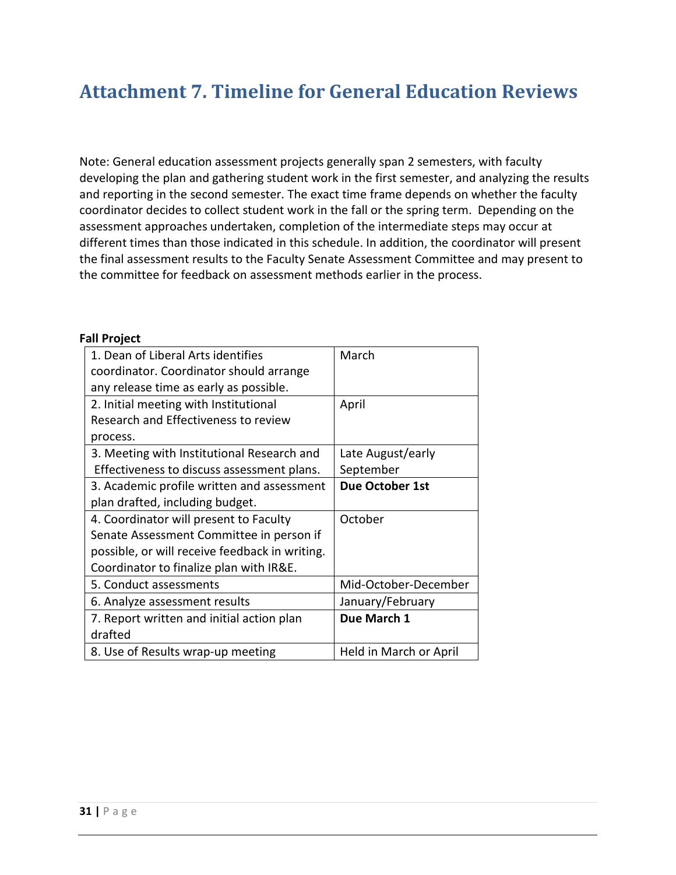### <span id="page-31-0"></span>**Attachment 7. Timeline for General Education Reviews**

Note: General education assessment projects generally span 2 semesters, with faculty developing the plan and gathering student work in the first semester, and analyzing the results and reporting in the second semester. The exact time frame depends on whether the faculty coordinator decides to collect student work in the fall or the spring term. Depending on the assessment approaches undertaken, completion of the intermediate steps may occur at different times than those indicated in this schedule. In addition, the coordinator will present the final assessment results to the Faculty Senate Assessment Committee and may present to the committee for feedback on assessment methods earlier in the process.

#### **Fall Project**

| 1. Dean of Liberal Arts identifies             | March                  |
|------------------------------------------------|------------------------|
| coordinator. Coordinator should arrange        |                        |
| any release time as early as possible.         |                        |
| 2. Initial meeting with Institutional          | April                  |
| Research and Effectiveness to review           |                        |
| process.                                       |                        |
| 3. Meeting with Institutional Research and     | Late August/early      |
| Effectiveness to discuss assessment plans.     | September              |
| 3. Academic profile written and assessment     | Due October 1st        |
| plan drafted, including budget.                |                        |
| 4. Coordinator will present to Faculty         | October                |
| Senate Assessment Committee in person if       |                        |
| possible, or will receive feedback in writing. |                        |
| Coordinator to finalize plan with IR&E.        |                        |
| 5. Conduct assessments                         | Mid-October-December   |
| 6. Analyze assessment results                  | January/February       |
| 7. Report written and initial action plan      | Due March 1            |
| drafted                                        |                        |
| 8. Use of Results wrap-up meeting              | Held in March or April |